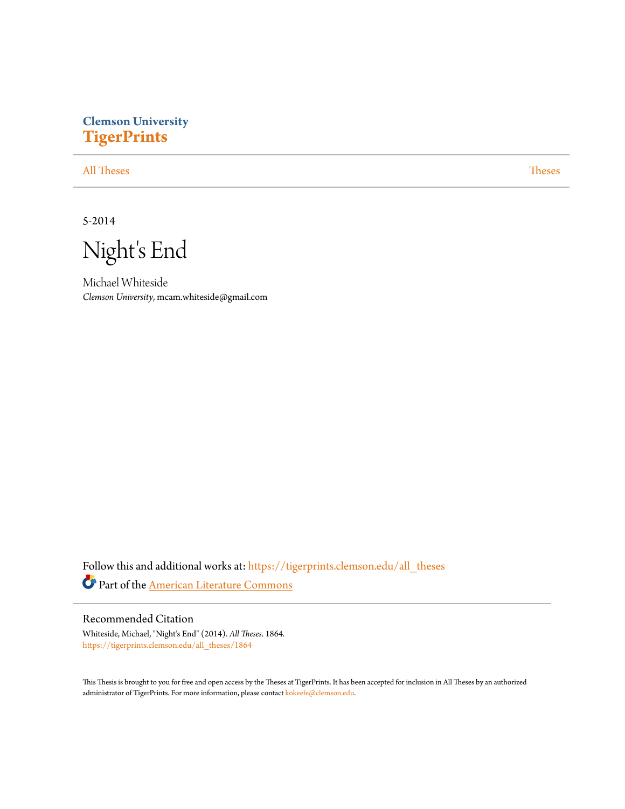# **Clemson University [TigerPrints](https://tigerprints.clemson.edu?utm_source=tigerprints.clemson.edu%2Fall_theses%2F1864&utm_medium=PDF&utm_campaign=PDFCoverPages)**

[All Theses](https://tigerprints.clemson.edu/all_theses?utm_source=tigerprints.clemson.edu%2Fall_theses%2F1864&utm_medium=PDF&utm_campaign=PDFCoverPages) **[Theses](https://tigerprints.clemson.edu/theses?utm_source=tigerprints.clemson.edu%2Fall_theses%2F1864&utm_medium=PDF&utm_campaign=PDFCoverPages)** 

5-2014

Night's End

Michael Whiteside *Clemson University*, mcam.whiteside@gmail.com

Follow this and additional works at: [https://tigerprints.clemson.edu/all\\_theses](https://tigerprints.clemson.edu/all_theses?utm_source=tigerprints.clemson.edu%2Fall_theses%2F1864&utm_medium=PDF&utm_campaign=PDFCoverPages) Part of the [American Literature Commons](http://network.bepress.com/hgg/discipline/441?utm_source=tigerprints.clemson.edu%2Fall_theses%2F1864&utm_medium=PDF&utm_campaign=PDFCoverPages)

### Recommended Citation

Whiteside, Michael, "Night's End" (2014). *All Theses*. 1864. [https://tigerprints.clemson.edu/all\\_theses/1864](https://tigerprints.clemson.edu/all_theses/1864?utm_source=tigerprints.clemson.edu%2Fall_theses%2F1864&utm_medium=PDF&utm_campaign=PDFCoverPages)

This Thesis is brought to you for free and open access by the Theses at TigerPrints. It has been accepted for inclusion in All Theses by an authorized administrator of TigerPrints. For more information, please contact [kokeefe@clemson.edu](mailto:kokeefe@clemson.edu).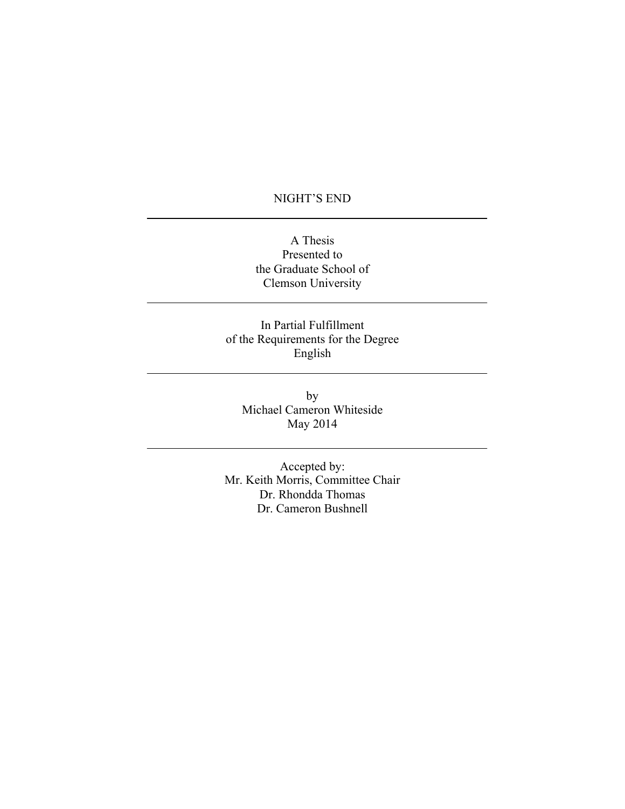## NIGHT'S END

A Thesis Presented to the Graduate School of Clemson University

In Partial Fulfillment of the Requirements for the Degree English

by Michael Cameron Whiteside May 2014

Accepted by: Mr. Keith Morris, Committee Chair Dr. Rhondda Thomas Dr. Cameron Bushnell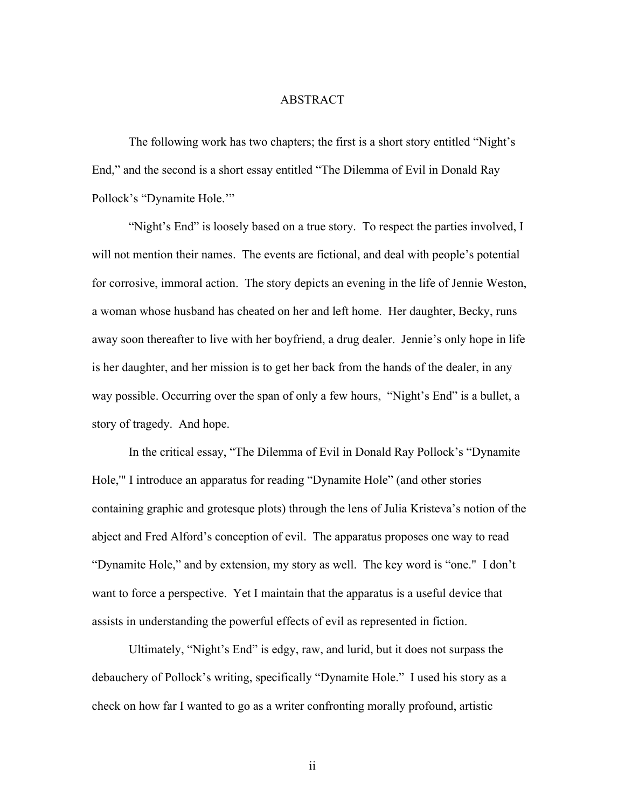### ABSTRACT

The following work has two chapters; the first is a short story entitled "Night's End," and the second is a short essay entitled "The Dilemma of Evil in Donald Ray Pollock's "Dynamite Hole.'"

"Night's End" is loosely based on a true story. To respect the parties involved, I will not mention their names. The events are fictional, and deal with people's potential for corrosive, immoral action. The story depicts an evening in the life of Jennie Weston, a woman whose husband has cheated on her and left home. Her daughter, Becky, runs away soon thereafter to live with her boyfriend, a drug dealer. Jennie's only hope in life is her daughter, and her mission is to get her back from the hands of the dealer, in any way possible. Occurring over the span of only a few hours, "Night's End" is a bullet, a story of tragedy. And hope.

In the critical essay, "The Dilemma of Evil in Donald Ray Pollock's "Dynamite Hole,'" I introduce an apparatus for reading "Dynamite Hole" (and other stories containing graphic and grotesque plots) through the lens of Julia Kristeva's notion of the abject and Fred Alford's conception of evil. The apparatus proposes one way to read "Dynamite Hole," and by extension, my story as well. The key word is "one." I don't want to force a perspective. Yet I maintain that the apparatus is a useful device that assists in understanding the powerful effects of evil as represented in fiction.

Ultimately, "Night's End" is edgy, raw, and lurid, but it does not surpass the debauchery of Pollock's writing, specifically "Dynamite Hole." I used his story as a check on how far I wanted to go as a writer confronting morally profound, artistic

ii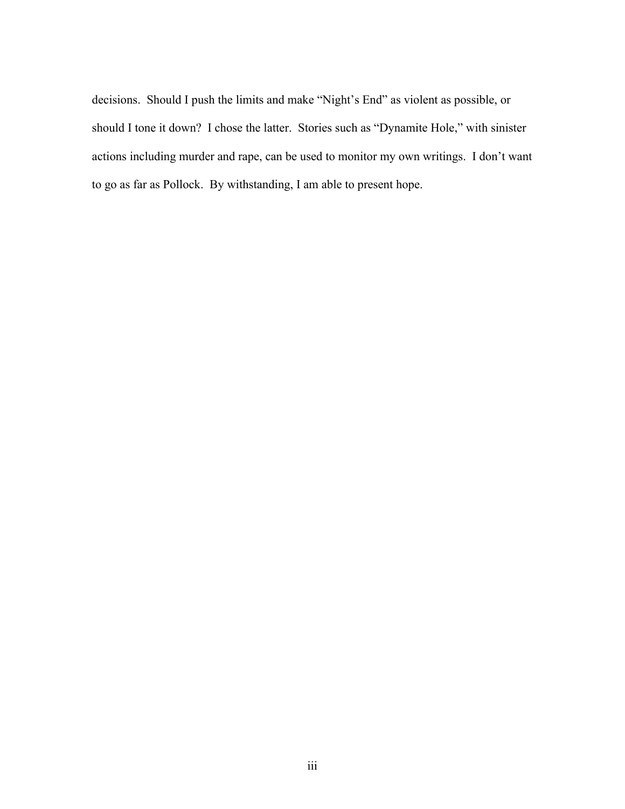decisions. Should I push the limits and make "Night's End" as violent as possible, or should I tone it down? I chose the latter. Stories such as "Dynamite Hole," with sinister actions including murder and rape, can be used to monitor my own writings. I don't want to go as far as Pollock. By withstanding, I am able to present hope.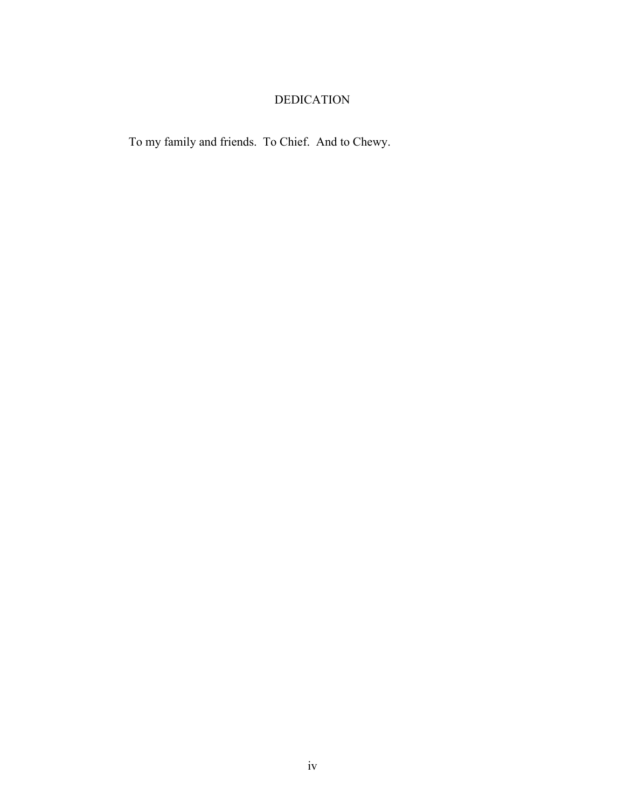# DEDICATION

To my family and friends. To Chief. And to Chewy.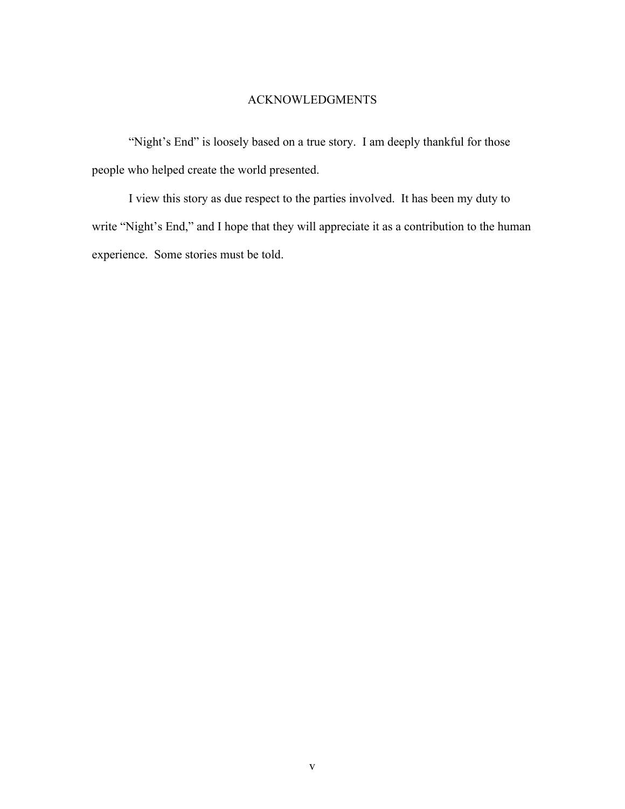## ACKNOWLEDGMENTS

"Night's End" is loosely based on a true story. I am deeply thankful for those people who helped create the world presented.

I view this story as due respect to the parties involved. It has been my duty to write "Night's End," and I hope that they will appreciate it as a contribution to the human experience. Some stories must be told.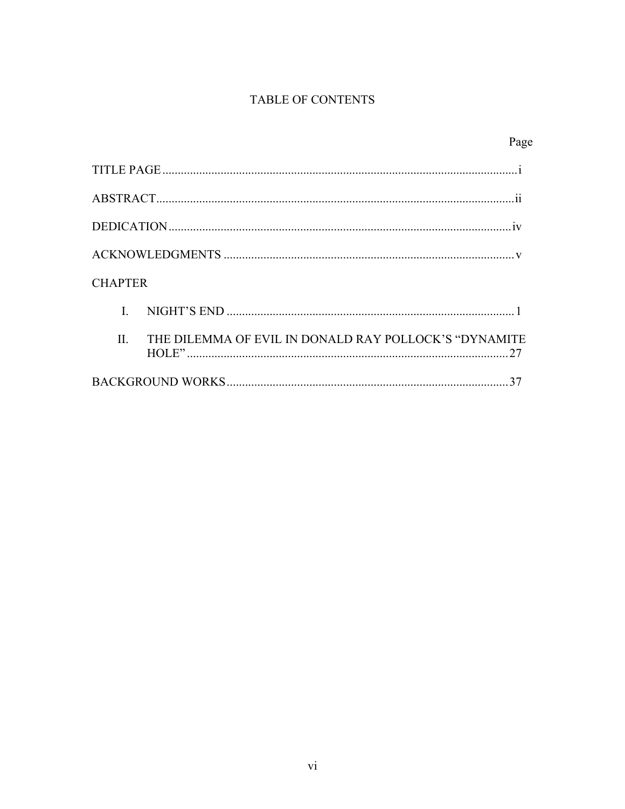# TABLE OF CONTENTS

|                                                                  | Page |
|------------------------------------------------------------------|------|
|                                                                  |      |
|                                                                  |      |
|                                                                  |      |
|                                                                  |      |
| <b>CHAPTER</b>                                                   |      |
|                                                                  |      |
| THE DILEMMA OF EVIL IN DONALD RAY POLLOCK'S "DYNAMITE<br>$\Pi$ . |      |
|                                                                  |      |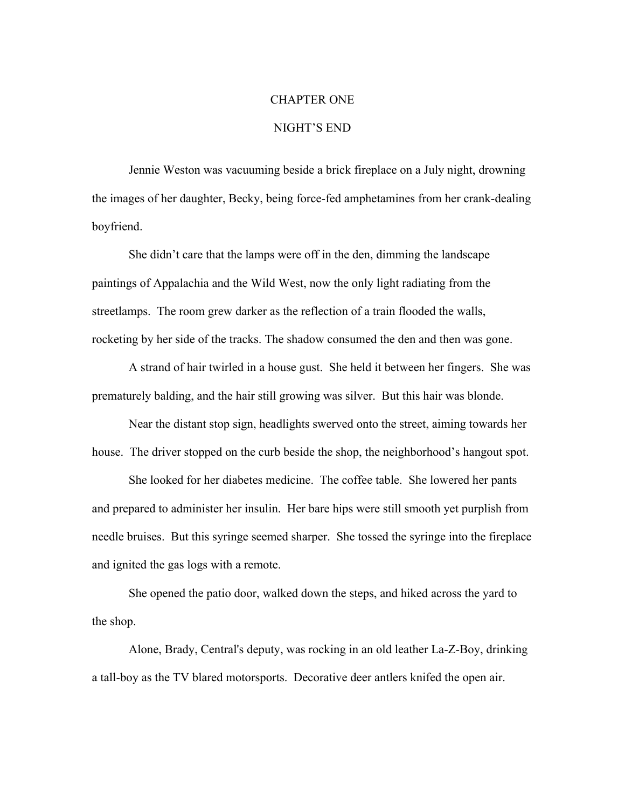### CHAPTER ONE

### NIGHT'S END

Jennie Weston was vacuuming beside a brick fireplace on a July night, drowning the images of her daughter, Becky, being force-fed amphetamines from her crank-dealing boyfriend.

She didn't care that the lamps were off in the den, dimming the landscape paintings of Appalachia and the Wild West, now the only light radiating from the streetlamps. The room grew darker as the reflection of a train flooded the walls, rocketing by her side of the tracks. The shadow consumed the den and then was gone.

A strand of hair twirled in a house gust. She held it between her fingers. She was prematurely balding, and the hair still growing was silver. But this hair was blonde.

Near the distant stop sign, headlights swerved onto the street, aiming towards her house. The driver stopped on the curb beside the shop, the neighborhood's hangout spot.

She looked for her diabetes medicine. The coffee table. She lowered her pants and prepared to administer her insulin. Her bare hips were still smooth yet purplish from needle bruises. But this syringe seemed sharper. She tossed the syringe into the fireplace and ignited the gas logs with a remote.

She opened the patio door, walked down the steps, and hiked across the yard to the shop.

Alone, Brady, Central's deputy, was rocking in an old leather La-Z-Boy, drinking a tall-boy as the TV blared motorsports. Decorative deer antlers knifed the open air.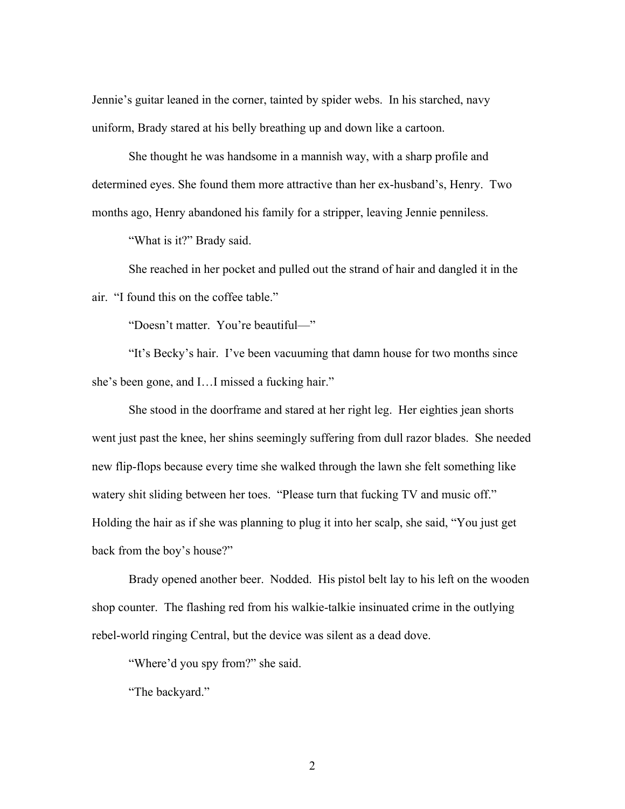Jennie's guitar leaned in the corner, tainted by spider webs. In his starched, navy uniform, Brady stared at his belly breathing up and down like a cartoon.

She thought he was handsome in a mannish way, with a sharp profile and determined eyes. She found them more attractive than her ex-husband's, Henry. Two months ago, Henry abandoned his family for a stripper, leaving Jennie penniless.

"What is it?" Brady said.

She reached in her pocket and pulled out the strand of hair and dangled it in the air. "I found this on the coffee table."

"Doesn't matter. You're beautiful—"

"It's Becky's hair. I've been vacuuming that damn house for two months since she's been gone, and I…I missed a fucking hair."

She stood in the doorframe and stared at her right leg. Her eighties jean shorts went just past the knee, her shins seemingly suffering from dull razor blades. She needed new flip-flops because every time she walked through the lawn she felt something like watery shit sliding between her toes. "Please turn that fucking TV and music off." Holding the hair as if she was planning to plug it into her scalp, she said, "You just get back from the boy's house?"

Brady opened another beer. Nodded. His pistol belt lay to his left on the wooden shop counter. The flashing red from his walkie-talkie insinuated crime in the outlying rebel-world ringing Central, but the device was silent as a dead dove.

"Where'd you spy from?" she said.

"The backyard."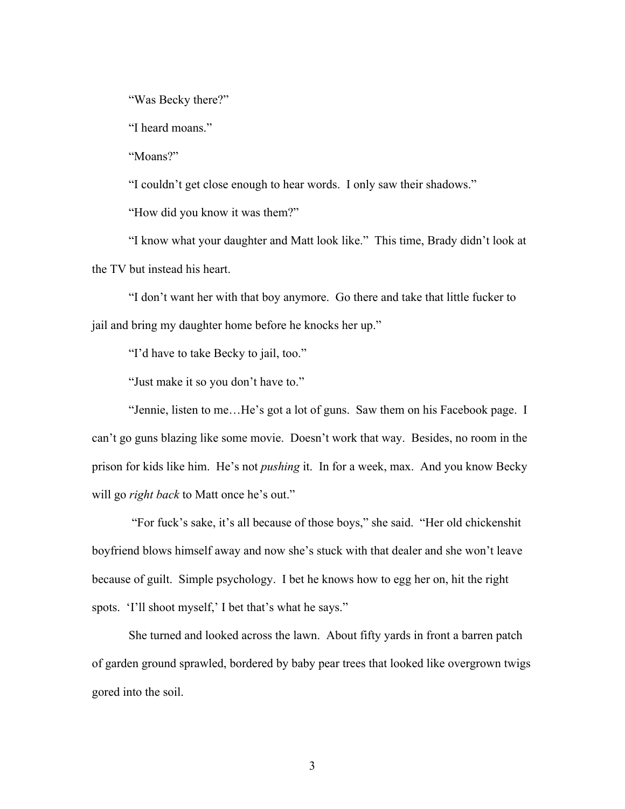"Was Becky there?"

"I heard moans."

"Moans?"

"I couldn't get close enough to hear words. I only saw their shadows."

"How did you know it was them?"

"I know what your daughter and Matt look like." This time, Brady didn't look at the TV but instead his heart.

"I don't want her with that boy anymore. Go there and take that little fucker to jail and bring my daughter home before he knocks her up."

"I'd have to take Becky to jail, too."

"Just make it so you don't have to."

"Jennie, listen to me…He's got a lot of guns. Saw them on his Facebook page. I can't go guns blazing like some movie. Doesn't work that way. Besides, no room in the prison for kids like him. He's not *pushing* it. In for a week, max. And you know Becky will go *right back* to Matt once he's out."

"For fuck's sake, it's all because of those boys," she said. "Her old chickenshit boyfriend blows himself away and now she's stuck with that dealer and she won't leave because of guilt. Simple psychology. I bet he knows how to egg her on, hit the right spots. 'I'll shoot myself,' I bet that's what he says."

She turned and looked across the lawn. About fifty yards in front a barren patch of garden ground sprawled, bordered by baby pear trees that looked like overgrown twigs gored into the soil.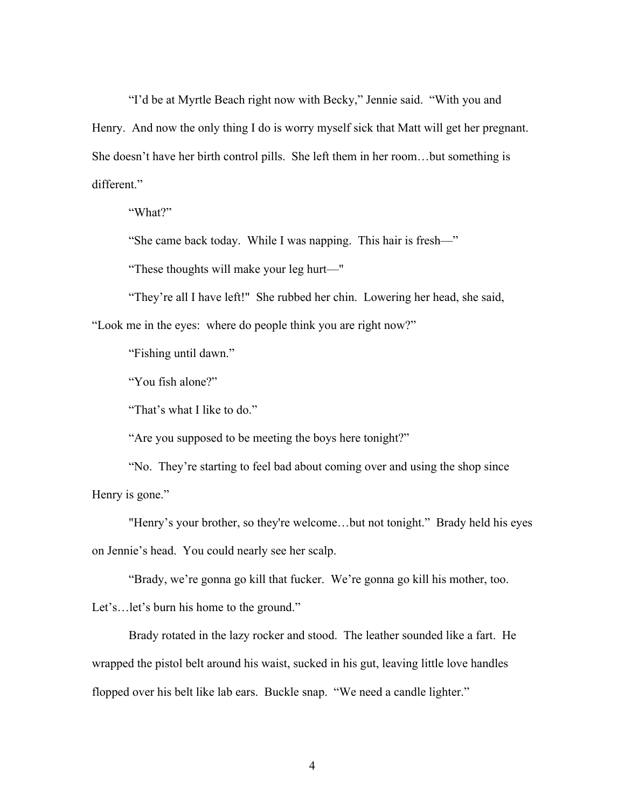"I'd be at Myrtle Beach right now with Becky," Jennie said. "With you and Henry. And now the only thing I do is worry myself sick that Matt will get her pregnant. She doesn't have her birth control pills. She left them in her room…but something is different."

"What?"

"She came back today. While I was napping. This hair is fresh—"

"These thoughts will make your leg hurt—"

"They're all I have left!" She rubbed her chin. Lowering her head, she said,

"Look me in the eyes: where do people think you are right now?"

"Fishing until dawn."

"You fish alone?"

"That's what I like to do."

"Are you supposed to be meeting the boys here tonight?"

"No. They're starting to feel bad about coming over and using the shop since Henry is gone."

"Henry's your brother, so they're welcome...but not tonight." Brady held his eyes on Jennie's head. You could nearly see her scalp.

"Brady, we're gonna go kill that fucker. We're gonna go kill his mother, too.

Let's…let's burn his home to the ground."

Brady rotated in the lazy rocker and stood. The leather sounded like a fart. He wrapped the pistol belt around his waist, sucked in his gut, leaving little love handles flopped over his belt like lab ears. Buckle snap. "We need a candle lighter."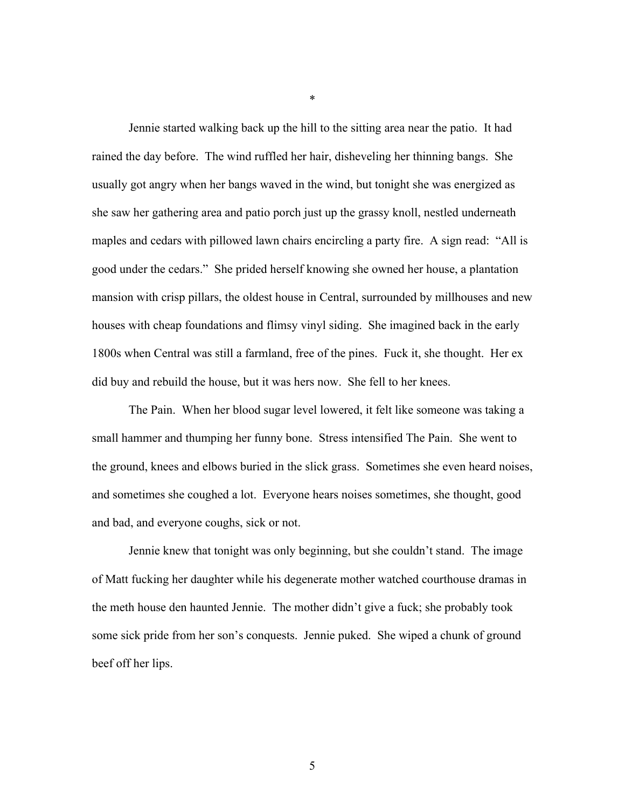Jennie started walking back up the hill to the sitting area near the patio. It had rained the day before. The wind ruffled her hair, disheveling her thinning bangs. She usually got angry when her bangs waved in the wind, but tonight she was energized as she saw her gathering area and patio porch just up the grassy knoll, nestled underneath maples and cedars with pillowed lawn chairs encircling a party fire. A sign read: "All is good under the cedars." She prided herself knowing she owned her house, a plantation mansion with crisp pillars, the oldest house in Central, surrounded by millhouses and new houses with cheap foundations and flimsy vinyl siding. She imagined back in the early 1800s when Central was still a farmland, free of the pines. Fuck it, she thought. Her ex did buy and rebuild the house, but it was hers now. She fell to her knees.

The Pain. When her blood sugar level lowered, it felt like someone was taking a small hammer and thumping her funny bone. Stress intensified The Pain. She went to the ground, knees and elbows buried in the slick grass. Sometimes she even heard noises, and sometimes she coughed a lot. Everyone hears noises sometimes, she thought, good and bad, and everyone coughs, sick or not.

Jennie knew that tonight was only beginning, but she couldn't stand. The image of Matt fucking her daughter while his degenerate mother watched courthouse dramas in the meth house den haunted Jennie. The mother didn't give a fuck; she probably took some sick pride from her son's conquests. Jennie puked. She wiped a chunk of ground beef off her lips.

\*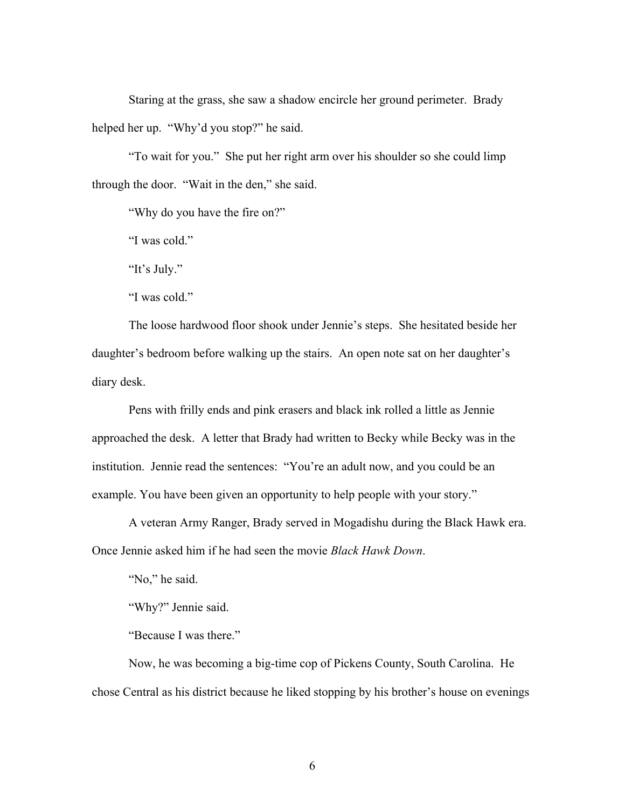Staring at the grass, she saw a shadow encircle her ground perimeter. Brady helped her up. "Why'd you stop?" he said.

"To wait for you." She put her right arm over his shoulder so she could limp through the door. "Wait in the den," she said.

"Why do you have the fire on?"

"I was cold."

"It's July."

"I was cold."

The loose hardwood floor shook under Jennie's steps. She hesitated beside her daughter's bedroom before walking up the stairs. An open note sat on her daughter's diary desk.

Pens with frilly ends and pink erasers and black ink rolled a little as Jennie approached the desk. A letter that Brady had written to Becky while Becky was in the institution. Jennie read the sentences: "You're an adult now, and you could be an example. You have been given an opportunity to help people with your story."

A veteran Army Ranger, Brady served in Mogadishu during the Black Hawk era. Once Jennie asked him if he had seen the movie *Black Hawk Down*.

"No," he said.

"Why?" Jennie said.

"Because I was there."

Now, he was becoming a big-time cop of Pickens County, South Carolina. He chose Central as his district because he liked stopping by his brother's house on evenings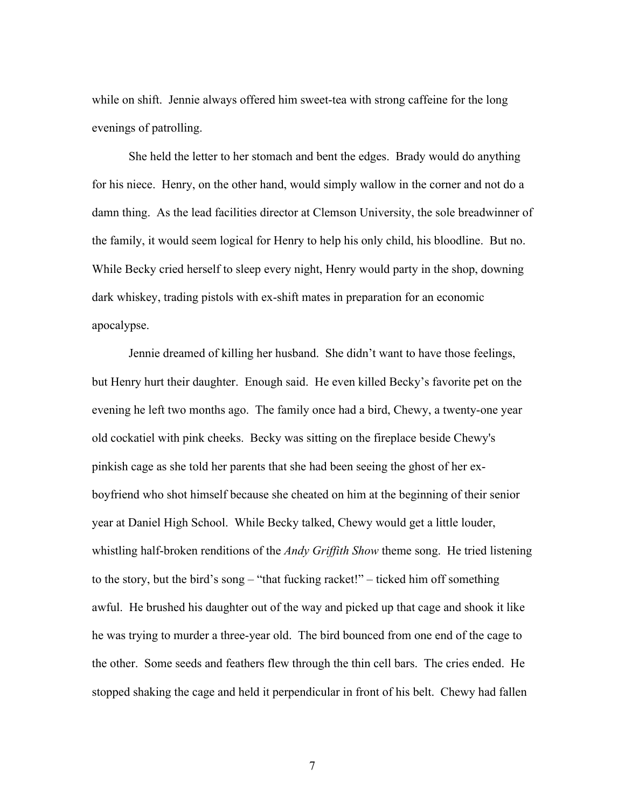while on shift. Jennie always offered him sweet-tea with strong caffeine for the long evenings of patrolling.

She held the letter to her stomach and bent the edges. Brady would do anything for his niece. Henry, on the other hand, would simply wallow in the corner and not do a damn thing. As the lead facilities director at Clemson University, the sole breadwinner of the family, it would seem logical for Henry to help his only child, his bloodline. But no. While Becky cried herself to sleep every night, Henry would party in the shop, downing dark whiskey, trading pistols with ex-shift mates in preparation for an economic apocalypse.

Jennie dreamed of killing her husband. She didn't want to have those feelings, but Henry hurt their daughter. Enough said. He even killed Becky's favorite pet on the evening he left two months ago. The family once had a bird, Chewy, a twenty-one year old cockatiel with pink cheeks. Becky was sitting on the fireplace beside Chewy's pinkish cage as she told her parents that she had been seeing the ghost of her exboyfriend who shot himself because she cheated on him at the beginning of their senior year at Daniel High School. While Becky talked, Chewy would get a little louder, whistling half-broken renditions of the *Andy Griffith Show* theme song. He tried listening to the story, but the bird's song – "that fucking racket!" – ticked him off something awful. He brushed his daughter out of the way and picked up that cage and shook it like he was trying to murder a three-year old. The bird bounced from one end of the cage to the other. Some seeds and feathers flew through the thin cell bars. The cries ended. He stopped shaking the cage and held it perpendicular in front of his belt. Chewy had fallen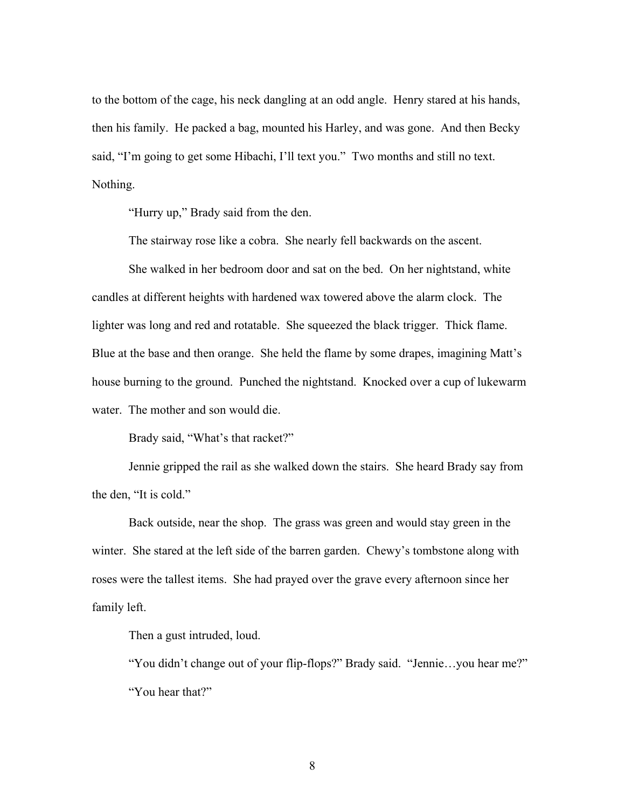to the bottom of the cage, his neck dangling at an odd angle. Henry stared at his hands, then his family. He packed a bag, mounted his Harley, and was gone. And then Becky said, "I'm going to get some Hibachi, I'll text you." Two months and still no text. Nothing.

"Hurry up," Brady said from the den.

The stairway rose like a cobra. She nearly fell backwards on the ascent.

She walked in her bedroom door and sat on the bed. On her nightstand, white candles at different heights with hardened wax towered above the alarm clock. The lighter was long and red and rotatable. She squeezed the black trigger. Thick flame. Blue at the base and then orange. She held the flame by some drapes, imagining Matt's house burning to the ground. Punched the nightstand. Knocked over a cup of lukewarm water. The mother and son would die.

Brady said, "What's that racket?"

Jennie gripped the rail as she walked down the stairs. She heard Brady say from the den, "It is cold."

Back outside, near the shop. The grass was green and would stay green in the winter. She stared at the left side of the barren garden. Chewy's tombstone along with roses were the tallest items. She had prayed over the grave every afternoon since her family left.

Then a gust intruded, loud.

"You didn't change out of your flip-flops?" Brady said. "Jennie…you hear me?" "You hear that?"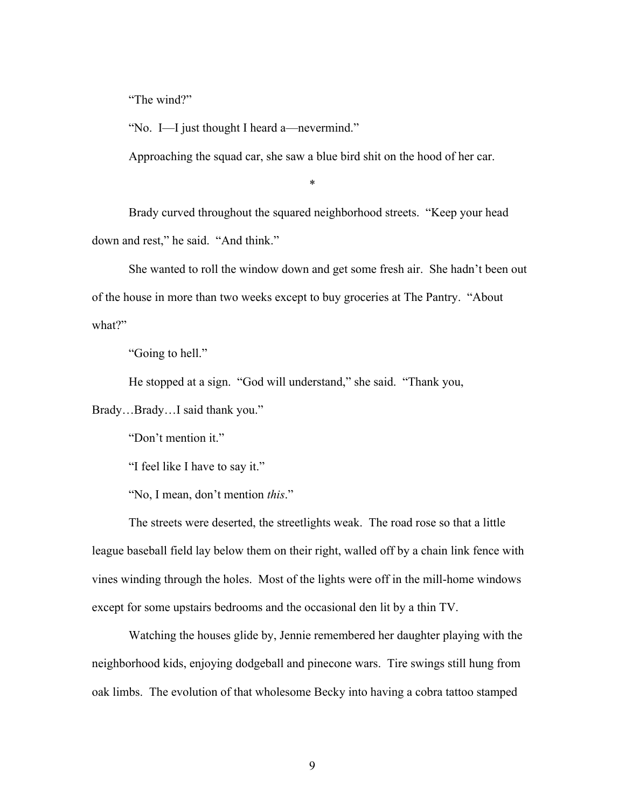"The wind?"

"No. I—I just thought I heard a—nevermind."

Approaching the squad car, she saw a blue bird shit on the hood of her car.

\*

Brady curved throughout the squared neighborhood streets. "Keep your head down and rest," he said. "And think."

She wanted to roll the window down and get some fresh air. She hadn't been out of the house in more than two weeks except to buy groceries at The Pantry. "About what?"

"Going to hell."

He stopped at a sign. "God will understand," she said. "Thank you,

Brady…Brady…I said thank you."

"Don't mention it."

"I feel like I have to say it."

"No, I mean, don't mention *this*."

The streets were deserted, the streetlights weak. The road rose so that a little league baseball field lay below them on their right, walled off by a chain link fence with vines winding through the holes. Most of the lights were off in the mill-home windows except for some upstairs bedrooms and the occasional den lit by a thin TV.

Watching the houses glide by, Jennie remembered her daughter playing with the neighborhood kids, enjoying dodgeball and pinecone wars. Tire swings still hung from oak limbs. The evolution of that wholesome Becky into having a cobra tattoo stamped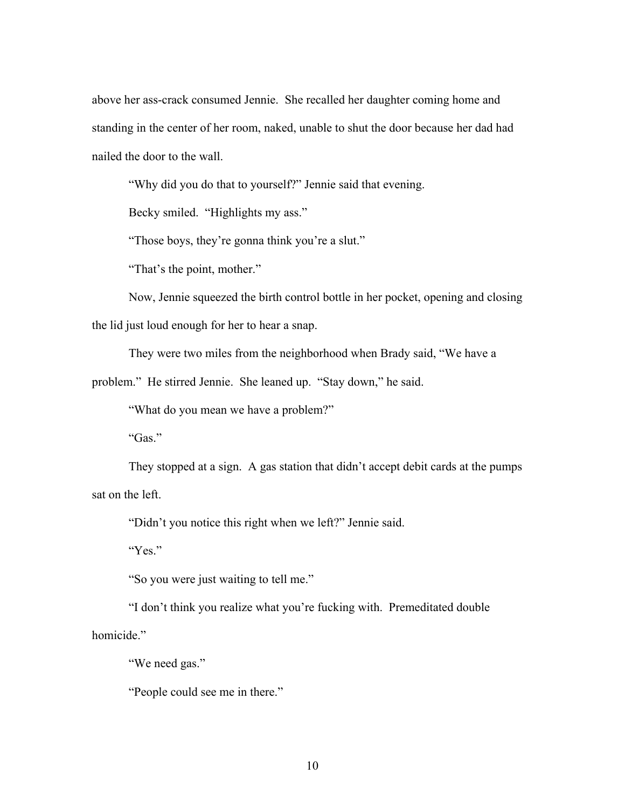above her ass-crack consumed Jennie. She recalled her daughter coming home and standing in the center of her room, naked, unable to shut the door because her dad had nailed the door to the wall.

"Why did you do that to yourself?" Jennie said that evening.

Becky smiled. "Highlights my ass."

"Those boys, they're gonna think you're a slut."

"That's the point, mother."

Now, Jennie squeezed the birth control bottle in her pocket, opening and closing the lid just loud enough for her to hear a snap.

They were two miles from the neighborhood when Brady said, "We have a

problem." He stirred Jennie. She leaned up. "Stay down," he said.

"What do you mean we have a problem?"

"Gas."

They stopped at a sign. A gas station that didn't accept debit cards at the pumps sat on the left.

"Didn't you notice this right when we left?" Jennie said.

"Yes."

"So you were just waiting to tell me."

"I don't think you realize what you're fucking with. Premeditated double homicide."

"We need gas."

"People could see me in there."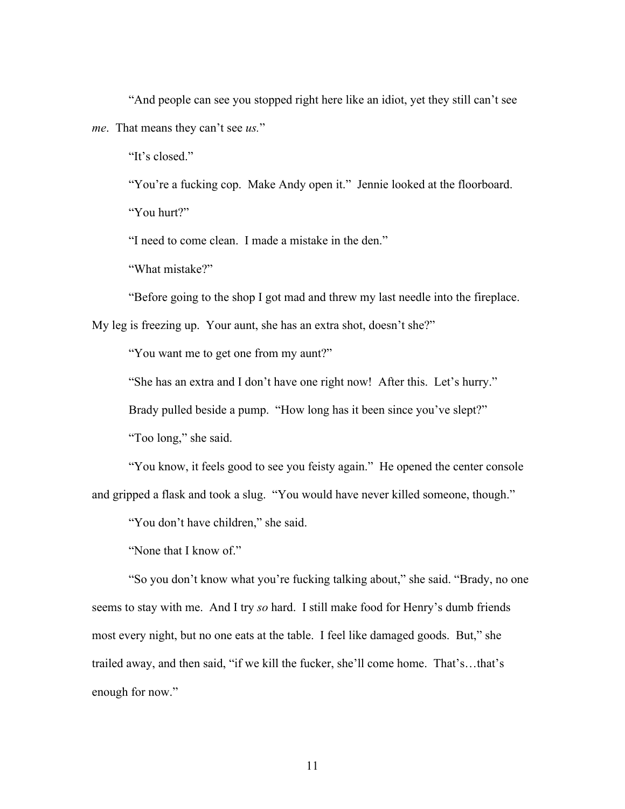"And people can see you stopped right here like an idiot, yet they still can't see *me*. That means they can't see *us.*"

"It's closed."

"You're a fucking cop. Make Andy open it." Jennie looked at the floorboard.

"You hurt?"

"I need to come clean. I made a mistake in the den."

"What mistake?"

"Before going to the shop I got mad and threw my last needle into the fireplace.

My leg is freezing up. Your aunt, she has an extra shot, doesn't she?"

"You want me to get one from my aunt?"

"She has an extra and I don't have one right now! After this. Let's hurry."

Brady pulled beside a pump. "How long has it been since you've slept?"

"Too long," she said.

"You know, it feels good to see you feisty again." He opened the center console and gripped a flask and took a slug. "You would have never killed someone, though."

"You don't have children," she said.

"None that I know of."

"So you don't know what you're fucking talking about," she said. "Brady, no one seems to stay with me. And I try *so* hard. I still make food for Henry's dumb friends most every night, but no one eats at the table. I feel like damaged goods. But," she trailed away, and then said, "if we kill the fucker, she'll come home. That's…that's enough for now."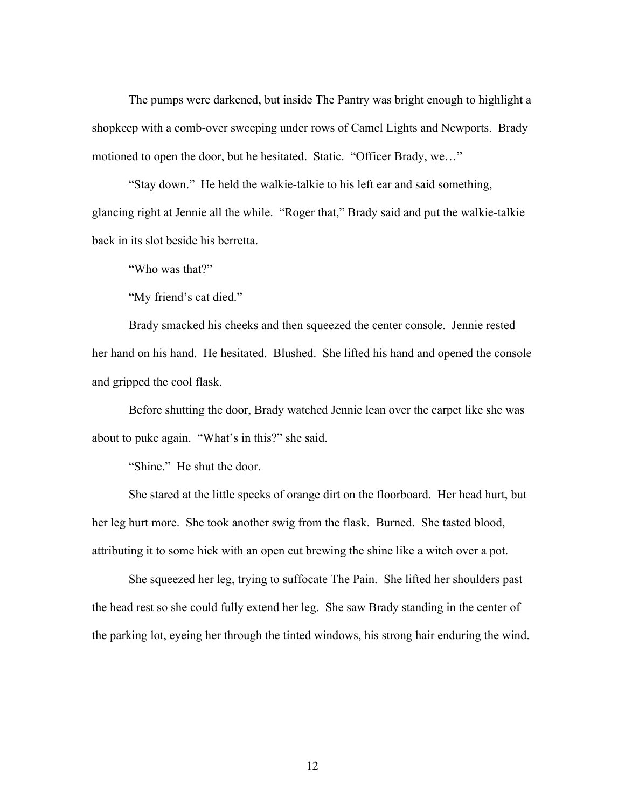The pumps were darkened, but inside The Pantry was bright enough to highlight a shopkeep with a comb-over sweeping under rows of Camel Lights and Newports. Brady motioned to open the door, but he hesitated. Static. "Officer Brady, we…"

"Stay down." He held the walkie-talkie to his left ear and said something, glancing right at Jennie all the while. "Roger that," Brady said and put the walkie-talkie back in its slot beside his berretta.

"Who was that?"

"My friend's cat died."

Brady smacked his cheeks and then squeezed the center console. Jennie rested her hand on his hand. He hesitated. Blushed. She lifted his hand and opened the console and gripped the cool flask.

Before shutting the door, Brady watched Jennie lean over the carpet like she was about to puke again. "What's in this?" she said.

"Shine." He shut the door.

She stared at the little specks of orange dirt on the floorboard. Her head hurt, but her leg hurt more. She took another swig from the flask. Burned. She tasted blood, attributing it to some hick with an open cut brewing the shine like a witch over a pot.

She squeezed her leg, trying to suffocate The Pain. She lifted her shoulders past the head rest so she could fully extend her leg. She saw Brady standing in the center of the parking lot, eyeing her through the tinted windows, his strong hair enduring the wind.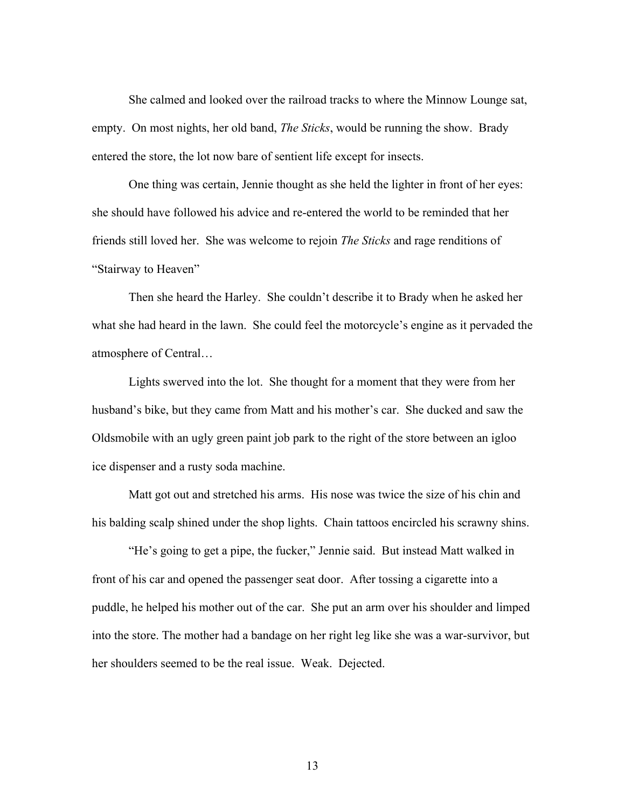She calmed and looked over the railroad tracks to where the Minnow Lounge sat, empty. On most nights, her old band, *The Sticks*, would be running the show. Brady entered the store, the lot now bare of sentient life except for insects.

One thing was certain, Jennie thought as she held the lighter in front of her eyes: she should have followed his advice and re-entered the world to be reminded that her friends still loved her. She was welcome to rejoin *The Sticks* and rage renditions of "Stairway to Heaven"

Then she heard the Harley. She couldn't describe it to Brady when he asked her what she had heard in the lawn. She could feel the motorcycle's engine as it pervaded the atmosphere of Central…

Lights swerved into the lot. She thought for a moment that they were from her husband's bike, but they came from Matt and his mother's car. She ducked and saw the Oldsmobile with an ugly green paint job park to the right of the store between an igloo ice dispenser and a rusty soda machine.

Matt got out and stretched his arms. His nose was twice the size of his chin and his balding scalp shined under the shop lights. Chain tattoos encircled his scrawny shins.

"He's going to get a pipe, the fucker," Jennie said. But instead Matt walked in front of his car and opened the passenger seat door. After tossing a cigarette into a puddle, he helped his mother out of the car. She put an arm over his shoulder and limped into the store. The mother had a bandage on her right leg like she was a war-survivor, but her shoulders seemed to be the real issue. Weak. Dejected.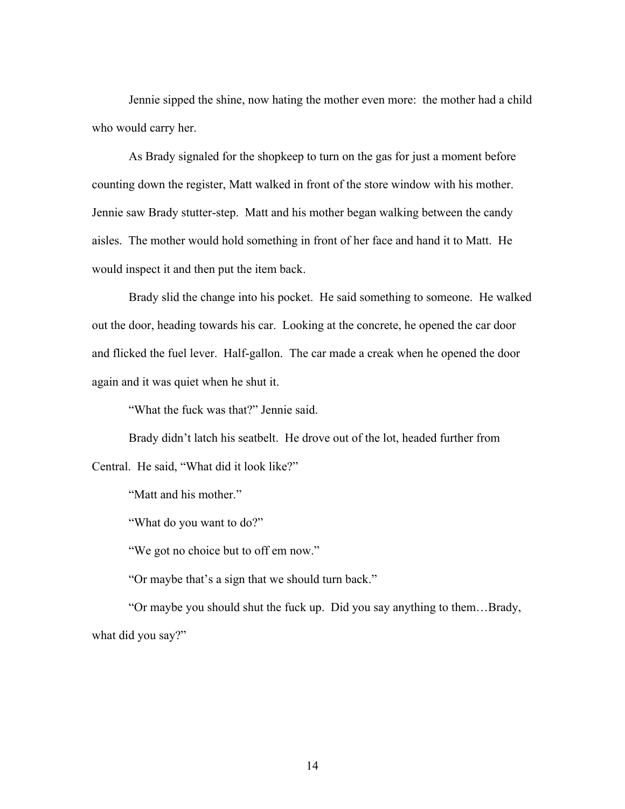Jennie sipped the shine, now hating the mother even more: the mother had a child who would carry her.

As Brady signaled for the shopkeep to turn on the gas for just a moment before counting down the register, Matt walked in front of the store window with his mother. Jennie saw Brady stutter-step. Matt and his mother began walking between the candy aisles. The mother would hold something in front of her face and hand it to Matt. He would inspect it and then put the item back.

Brady slid the change into his pocket. He said something to someone. He walked out the door, heading towards his car. Looking at the concrete, he opened the car door and flicked the fuel lever. Half-gallon. The car made a creak when he opened the door again and it was quiet when he shut it.

"What the fuck was that?" Jennie said.

Brady didn't latch his seatbelt. He drove out of the lot, headed further from Central. He said, "What did it look like?"

"Matt and his mother."

"What do you want to do?"

"We got no choice but to off em now."

"Or maybe that's a sign that we should turn back."

"Or maybe you should shut the fuck up. Did you say anything to them…Brady, what did you say?"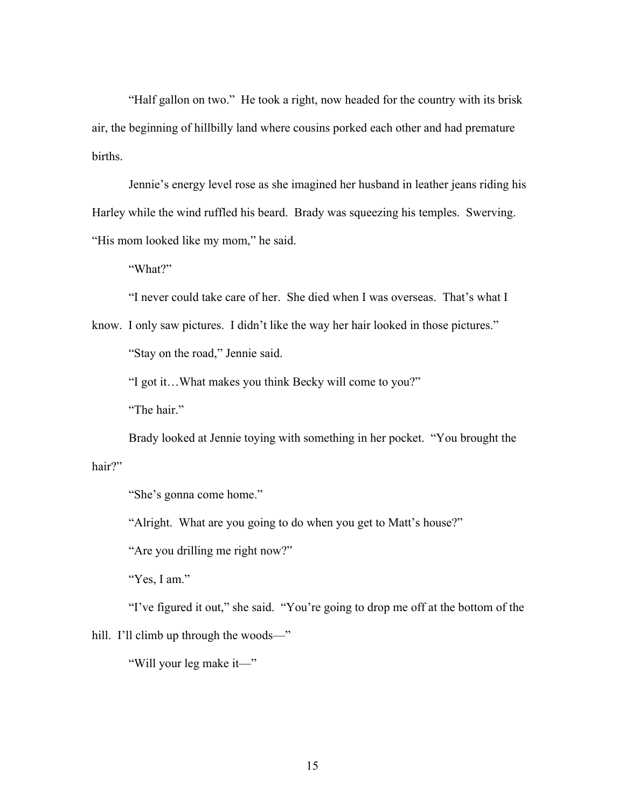"Half gallon on two." He took a right, now headed for the country with its brisk air, the beginning of hillbilly land where cousins porked each other and had premature births.

Jennie's energy level rose as she imagined her husband in leather jeans riding his Harley while the wind ruffled his beard. Brady was squeezing his temples. Swerving. "His mom looked like my mom," he said.

"What?"

"I never could take care of her. She died when I was overseas. That's what I

know. I only saw pictures. I didn't like the way her hair looked in those pictures." "Stay on the road," Jennie said.

"I got it…What makes you think Becky will come to you?"

"The hair."

Brady looked at Jennie toying with something in her pocket. "You brought the hair?"

"She's gonna come home."

"Alright. What are you going to do when you get to Matt's house?"

"Are you drilling me right now?"

"Yes, I am."

"I've figured it out," she said. "You're going to drop me off at the bottom of the

hill. I'll climb up through the woods—"

"Will your leg make it—"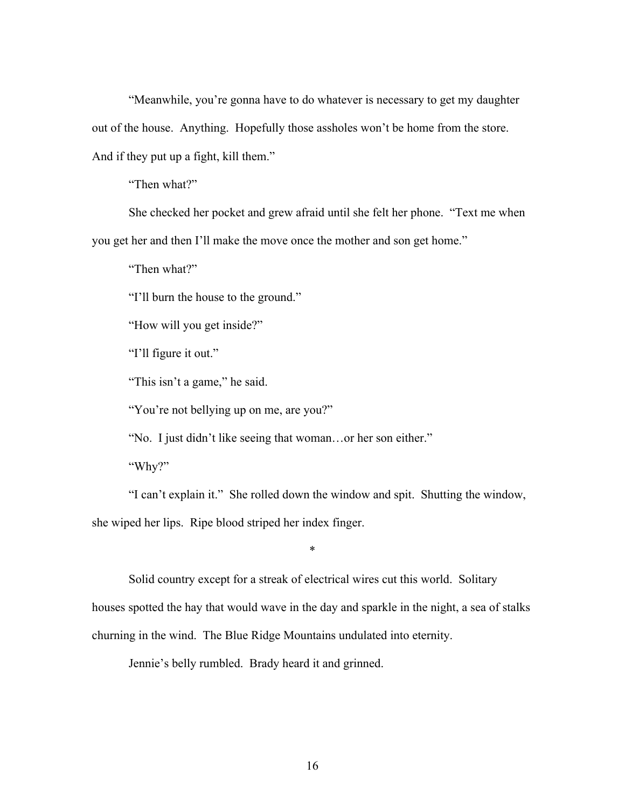"Meanwhile, you're gonna have to do whatever is necessary to get my daughter out of the house. Anything. Hopefully those assholes won't be home from the store. And if they put up a fight, kill them."

"Then what?"

She checked her pocket and grew afraid until she felt her phone. "Text me when you get her and then I'll make the move once the mother and son get home."

"Then what?"

"I'll burn the house to the ground."

"How will you get inside?"

"I'll figure it out."

"This isn't a game," he said.

"You're not bellying up on me, are you?"

"No. I just didn't like seeing that woman…or her son either."

"Why?"

"I can't explain it." She rolled down the window and spit. Shutting the window, she wiped her lips. Ripe blood striped her index finger.

Solid country except for a streak of electrical wires cut this world. Solitary

\*

houses spotted the hay that would wave in the day and sparkle in the night, a sea of stalks

churning in the wind. The Blue Ridge Mountains undulated into eternity.

Jennie's belly rumbled. Brady heard it and grinned.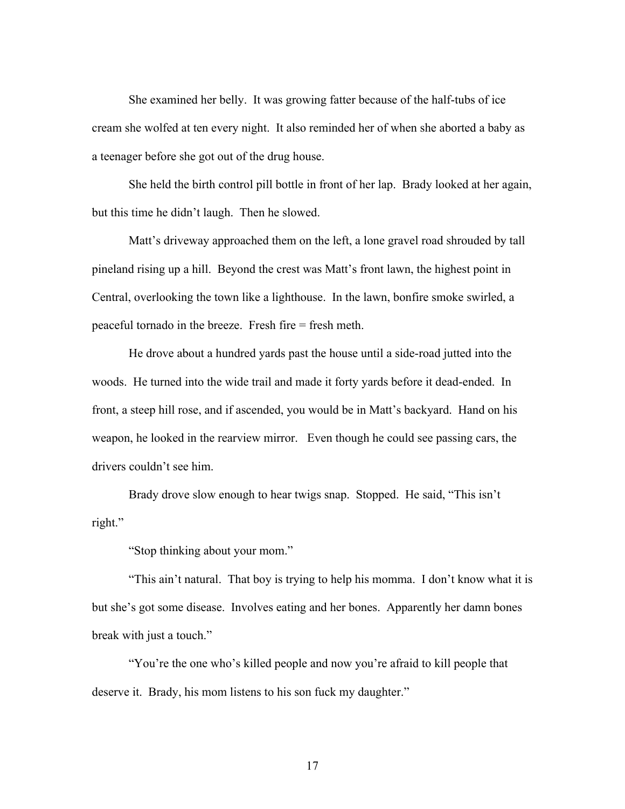She examined her belly. It was growing fatter because of the half-tubs of ice cream she wolfed at ten every night. It also reminded her of when she aborted a baby as a teenager before she got out of the drug house.

She held the birth control pill bottle in front of her lap. Brady looked at her again, but this time he didn't laugh. Then he slowed.

Matt's driveway approached them on the left, a lone gravel road shrouded by tall pineland rising up a hill. Beyond the crest was Matt's front lawn, the highest point in Central, overlooking the town like a lighthouse. In the lawn, bonfire smoke swirled, a peaceful tornado in the breeze. Fresh fire = fresh meth.

He drove about a hundred yards past the house until a side-road jutted into the woods. He turned into the wide trail and made it forty yards before it dead-ended. In front, a steep hill rose, and if ascended, you would be in Matt's backyard. Hand on his weapon, he looked in the rearview mirror. Even though he could see passing cars, the drivers couldn't see him.

Brady drove slow enough to hear twigs snap. Stopped. He said, "This isn't right."

"Stop thinking about your mom."

"This ain't natural. That boy is trying to help his momma. I don't know what it is but she's got some disease. Involves eating and her bones. Apparently her damn bones break with just a touch."

"You're the one who's killed people and now you're afraid to kill people that deserve it. Brady, his mom listens to his son fuck my daughter."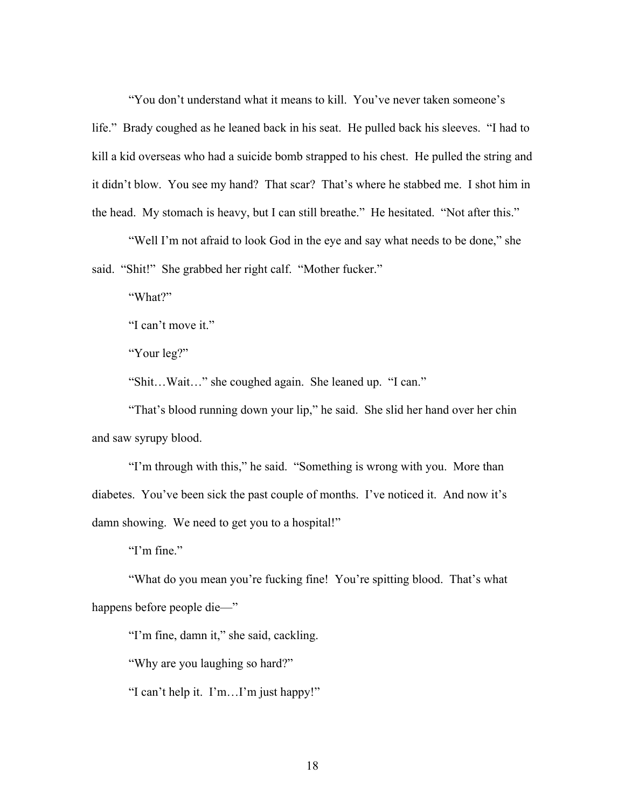"You don't understand what it means to kill. You've never taken someone's

life." Brady coughed as he leaned back in his seat. He pulled back his sleeves. "I had to kill a kid overseas who had a suicide bomb strapped to his chest. He pulled the string and it didn't blow. You see my hand? That scar? That's where he stabbed me. I shot him in the head. My stomach is heavy, but I can still breathe." He hesitated. "Not after this."

"Well I'm not afraid to look God in the eye and say what needs to be done," she said. "Shit!" She grabbed her right calf. "Mother fucker."

"What?"

"I can't move it."

"Your leg?"

"Shit…Wait…" she coughed again. She leaned up. "I can."

"That's blood running down your lip," he said. She slid her hand over her chin and saw syrupy blood.

"I'm through with this," he said. "Something is wrong with you. More than diabetes. You've been sick the past couple of months. I've noticed it. And now it's damn showing. We need to get you to a hospital!"

"I'm fine."

"What do you mean you're fucking fine! You're spitting blood. That's what happens before people die—"

"I'm fine, damn it," she said, cackling.

"Why are you laughing so hard?"

"I can't help it. I'm…I'm just happy!"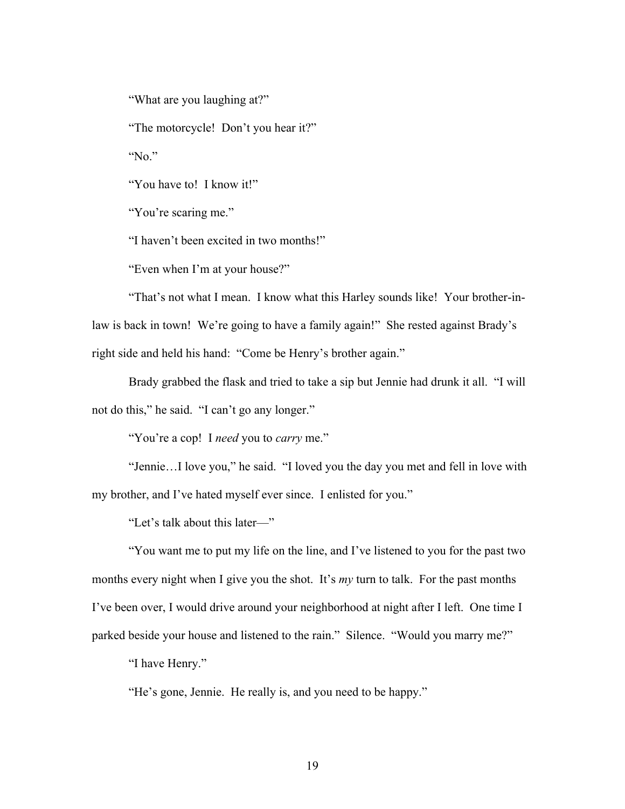"What are you laughing at?"

"The motorcycle! Don't you hear it?"

"No."

"You have to! I know it!"

"You're scaring me."

"I haven't been excited in two months!"

"Even when I'm at your house?"

"That's not what I mean. I know what this Harley sounds like! Your brother-inlaw is back in town! We're going to have a family again!" She rested against Brady's right side and held his hand: "Come be Henry's brother again."

Brady grabbed the flask and tried to take a sip but Jennie had drunk it all."I will not do this," he said. "I can't go any longer."

"You're a cop! I *need* you to *carry* me."

"Jennie…I love you," he said. "I loved you the day you met and fell in love with my brother, and I've hated myself ever since. I enlisted for you."

"Let's talk about this later—"

"You want me to put my life on the line, and I've listened to you for the past two months every night when I give you the shot. It's *my* turn to talk. For the past months I've been over, I would drive around your neighborhood at night after I left. One time I parked beside your house and listened to the rain." Silence. "Would you marry me?"

"I have Henry."

"He's gone, Jennie. He really is, and you need to be happy."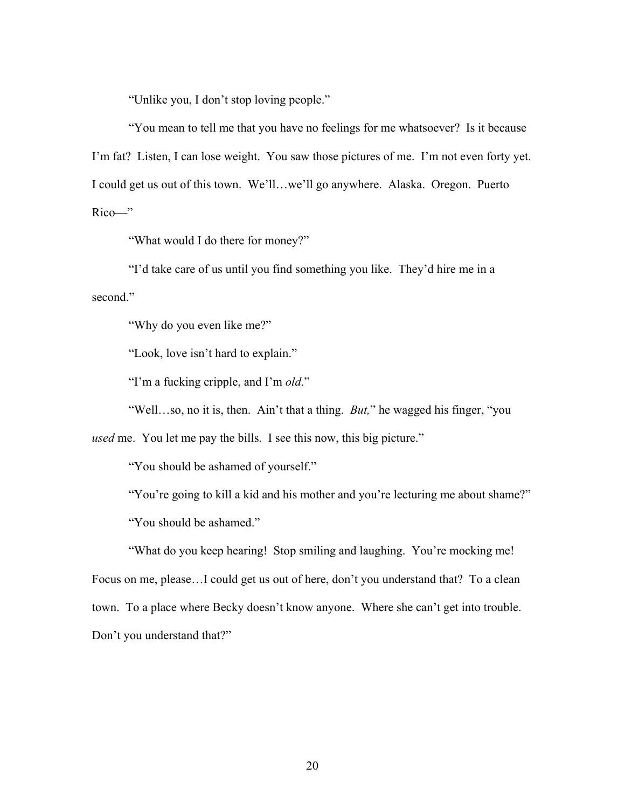"Unlike you, I don't stop loving people."

"You mean to tell me that you have no feelings for me whatsoever? Is it because I'm fat? Listen, I can lose weight. You saw those pictures of me. I'm not even forty yet. I could get us out of this town. We'll…we'll go anywhere. Alaska. Oregon. Puerto Rico—"

"What would I do there for money?"

"I'd take care of us until you find something you like. They'd hire me in a second."

"Why do you even like me?"

"Look, love isn't hard to explain."

"I'm a fucking cripple, and I'm *old*."

"Well…so, no it is, then. Ain't that a thing. *But,*" he wagged his finger, "you

*used* me. You let me pay the bills. I see this now, this big picture."

"You should be ashamed of yourself."

"You're going to kill a kid and his mother and you're lecturing me about shame?" "You should be ashamed."

"What do you keep hearing! Stop smiling and laughing. You're mocking me! Focus on me, please…I could get us out of here, don't you understand that? To a clean town. To a place where Becky doesn't know anyone. Where she can't get into trouble. Don't you understand that?"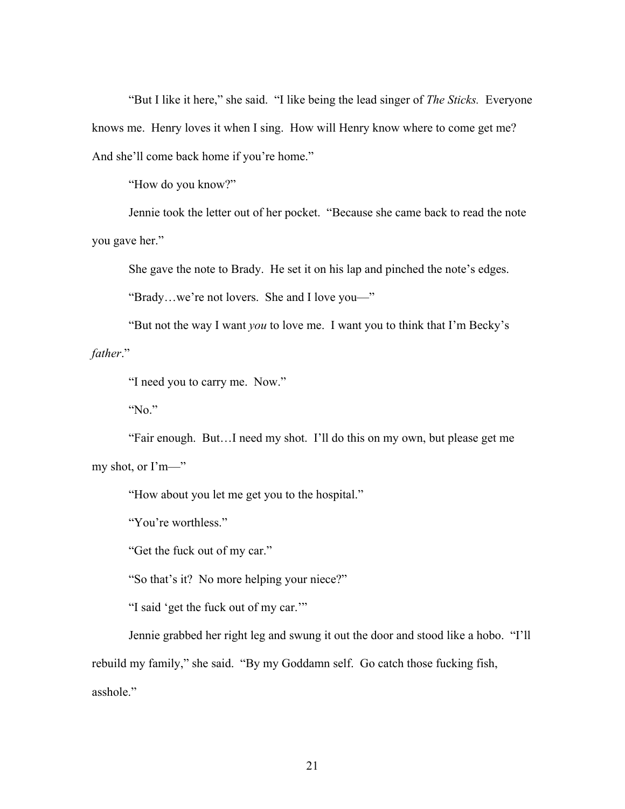"But I like it here," she said. "I like being the lead singer of *The Sticks.* Everyone knows me. Henry loves it when I sing. How will Henry know where to come get me? And she'll come back home if you're home."

"How do you know?"

Jennie took the letter out of her pocket. "Because she came back to read the note you gave her."

She gave the note to Brady. He set it on his lap and pinched the note's edges.

"Brady…we're not lovers. She and I love you—"

"But not the way I want *you* to love me. I want you to think that I'm Becky's *father*."

"I need you to carry me. Now."

"No."

"Fair enough. But…I need my shot. I'll do this on my own, but please get me my shot, or I'm—"

"How about you let me get you to the hospital."

"You're worthless."

"Get the fuck out of my car."

"So that's it? No more helping your niece?"

"I said 'get the fuck out of my car.'"

Jennie grabbed her right leg and swung it out the door and stood like a hobo. "I'll rebuild my family," she said. "By my Goddamn self. Go catch those fucking fish, asshole."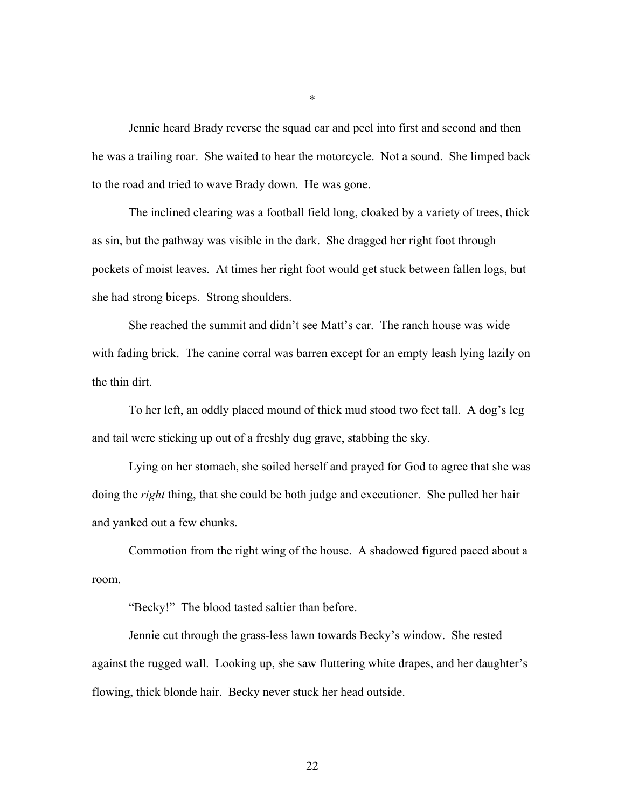Jennie heard Brady reverse the squad car and peel into first and second and then he was a trailing roar. She waited to hear the motorcycle. Not a sound. She limped back to the road and tried to wave Brady down. He was gone.

The inclined clearing was a football field long, cloaked by a variety of trees, thick as sin, but the pathway was visible in the dark. She dragged her right foot through pockets of moist leaves. At times her right foot would get stuck between fallen logs, but she had strong biceps. Strong shoulders.

She reached the summit and didn't see Matt's car. The ranch house was wide with fading brick. The canine corral was barren except for an empty leash lying lazily on the thin dirt.

To her left, an oddly placed mound of thick mud stood two feet tall. A dog's leg and tail were sticking up out of a freshly dug grave, stabbing the sky.

Lying on her stomach, she soiled herself and prayed for God to agree that she was doing the *right* thing, that she could be both judge and executioner. She pulled her hair and yanked out a few chunks.

Commotion from the right wing of the house. A shadowed figured paced about a room.

"Becky!" The blood tasted saltier than before.

Jennie cut through the grass-less lawn towards Becky's window. She rested against the rugged wall. Looking up, she saw fluttering white drapes, and her daughter's flowing, thick blonde hair. Becky never stuck her head outside.

\*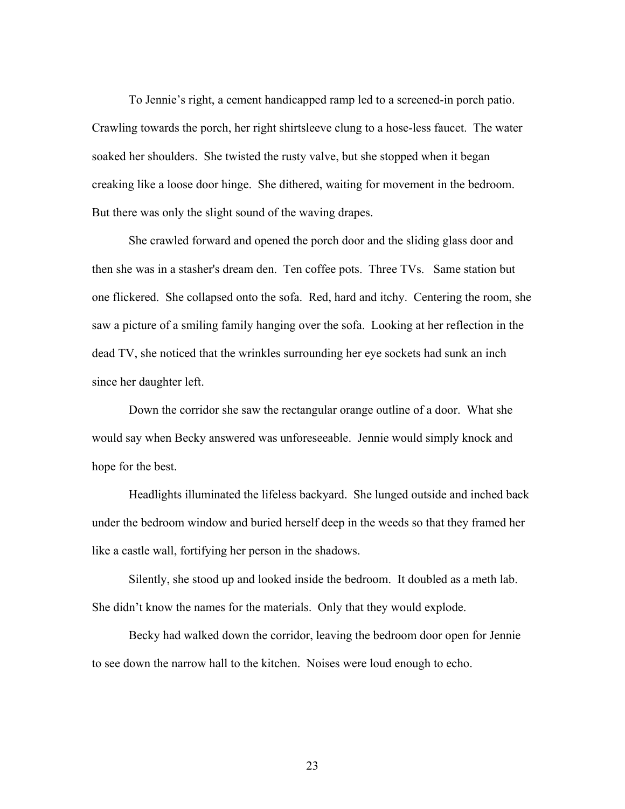To Jennie's right, a cement handicapped ramp led to a screened-in porch patio. Crawling towards the porch, her right shirtsleeve clung to a hose-less faucet. The water soaked her shoulders. She twisted the rusty valve, but she stopped when it began creaking like a loose door hinge. She dithered, waiting for movement in the bedroom. But there was only the slight sound of the waving drapes.

She crawled forward and opened the porch door and the sliding glass door and then she was in a stasher's dream den. Ten coffee pots. Three TVs. Same station but one flickered. She collapsed onto the sofa. Red, hard and itchy. Centering the room, she saw a picture of a smiling family hanging over the sofa. Looking at her reflection in the dead TV, she noticed that the wrinkles surrounding her eye sockets had sunk an inch since her daughter left.

Down the corridor she saw the rectangular orange outline of a door. What she would say when Becky answered was unforeseeable. Jennie would simply knock and hope for the best.

Headlights illuminated the lifeless backyard. She lunged outside and inched back under the bedroom window and buried herself deep in the weeds so that they framed her like a castle wall, fortifying her person in the shadows.

Silently, she stood up and looked inside the bedroom. It doubled as a meth lab. She didn't know the names for the materials. Only that they would explode.

Becky had walked down the corridor, leaving the bedroom door open for Jennie to see down the narrow hall to the kitchen. Noises were loud enough to echo.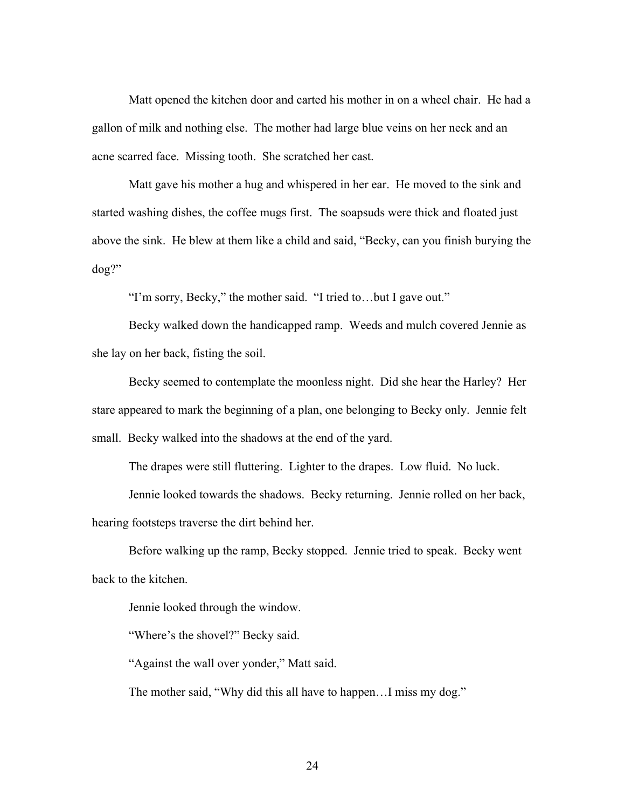Matt opened the kitchen door and carted his mother in on a wheel chair. He had a gallon of milk and nothing else. The mother had large blue veins on her neck and an acne scarred face. Missing tooth. She scratched her cast.

Matt gave his mother a hug and whispered in her ear. He moved to the sink and started washing dishes, the coffee mugs first. The soapsuds were thick and floated just above the sink. He blew at them like a child and said, "Becky, can you finish burying the dog?"

"I'm sorry, Becky," the mother said. "I tried to…but I gave out."

Becky walked down the handicapped ramp. Weeds and mulch covered Jennie as she lay on her back, fisting the soil.

Becky seemed to contemplate the moonless night. Did she hear the Harley? Her stare appeared to mark the beginning of a plan, one belonging to Becky only. Jennie felt small. Becky walked into the shadows at the end of the yard.

The drapes were still fluttering. Lighter to the drapes. Low fluid. No luck.

Jennie looked towards the shadows. Becky returning. Jennie rolled on her back, hearing footsteps traverse the dirt behind her.

Before walking up the ramp, Becky stopped. Jennie tried to speak. Becky went back to the kitchen.

Jennie looked through the window.

"Where's the shovel?" Becky said.

"Against the wall over yonder," Matt said.

The mother said, "Why did this all have to happen...I miss my dog."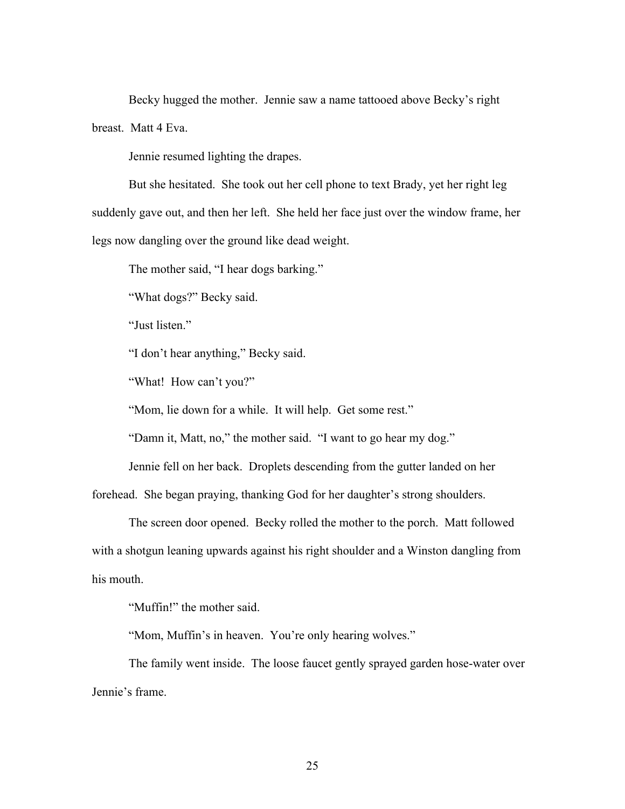Becky hugged the mother. Jennie saw a name tattooed above Becky's right breast. Matt 4 Eva.

Jennie resumed lighting the drapes.

But she hesitated. She took out her cell phone to text Brady, yet her right leg suddenly gave out, and then her left. She held her face just over the window frame, her legs now dangling over the ground like dead weight.

The mother said, "I hear dogs barking."

"What dogs?" Becky said.

"Just listen."

"I don't hear anything," Becky said.

"What! How can't you?"

"Mom, lie down for a while. It will help. Get some rest."

"Damn it, Matt, no," the mother said. "I want to go hear my dog."

Jennie fell on her back. Droplets descending from the gutter landed on her

forehead. She began praying, thanking God for her daughter's strong shoulders.

The screen door opened. Becky rolled the mother to the porch. Matt followed with a shotgun leaning upwards against his right shoulder and a Winston dangling from his mouth.

"Muffin!" the mother said.

"Mom, Muffin's in heaven. You're only hearing wolves."

The family went inside. The loose faucet gently sprayed garden hose-water over Jennie's frame.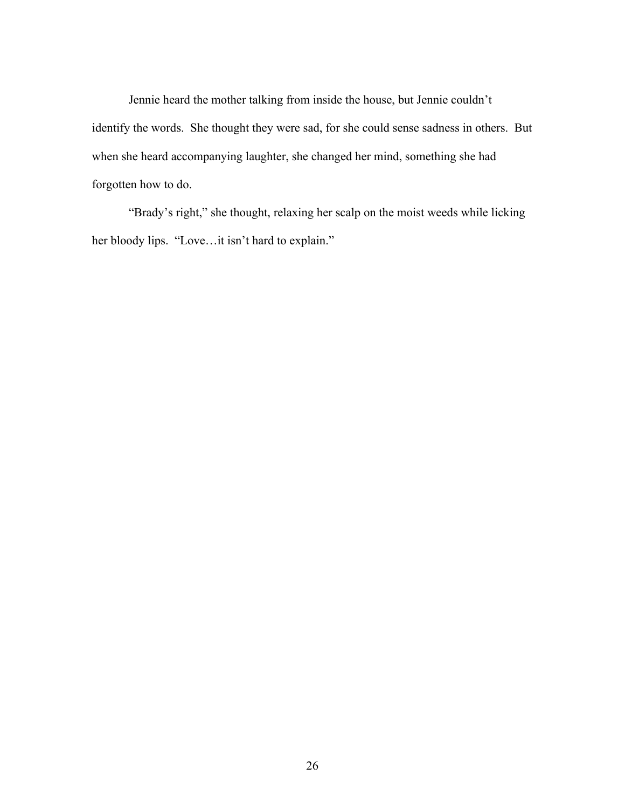Jennie heard the mother talking from inside the house, but Jennie couldn't identify the words. She thought they were sad, for she could sense sadness in others. But when she heard accompanying laughter, she changed her mind, something she had forgotten how to do.

"Brady's right," she thought, relaxing her scalp on the moist weeds while licking her bloody lips. "Love…it isn't hard to explain."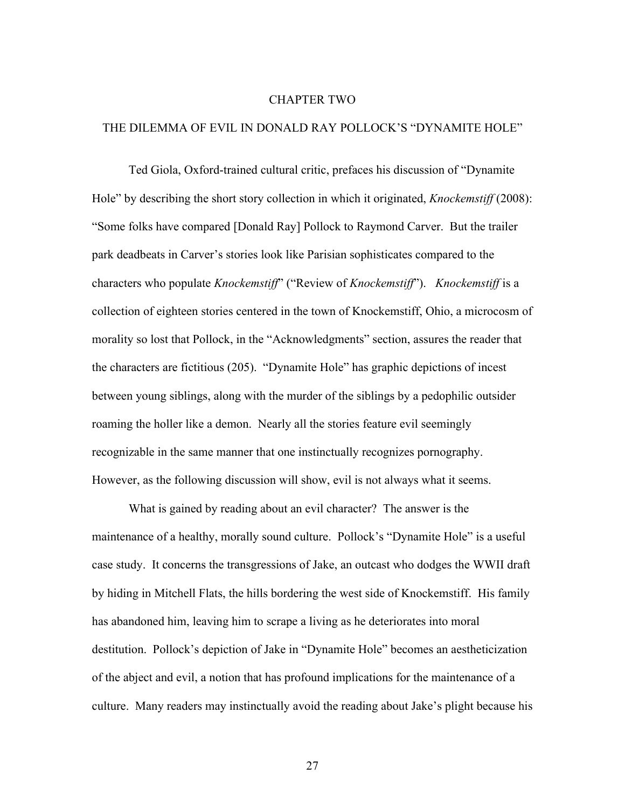#### CHAPTER TWO

### THE DILEMMA OF EVIL IN DONALD RAY POLLOCK'S "DYNAMITE HOLE"

Ted Giola, Oxford-trained cultural critic, prefaces his discussion of "Dynamite Hole" by describing the short story collection in which it originated, *Knockemstiff* (2008): "Some folks have compared [Donald Ray] Pollock to Raymond Carver. But the trailer park deadbeats in Carver's stories look like Parisian sophisticates compared to the characters who populate *Knockemstiff*" ("Review of *Knockemstiff*"). *Knockemstiff* is a collection of eighteen stories centered in the town of Knockemstiff, Ohio, a microcosm of morality so lost that Pollock, in the "Acknowledgments" section, assures the reader that the characters are fictitious (205). "Dynamite Hole" has graphic depictions of incest between young siblings, along with the murder of the siblings by a pedophilic outsider roaming the holler like a demon. Nearly all the stories feature evil seemingly recognizable in the same manner that one instinctually recognizes pornography. However, as the following discussion will show, evil is not always what it seems.

What is gained by reading about an evil character? The answer is the maintenance of a healthy, morally sound culture. Pollock's "Dynamite Hole" is a useful case study. It concerns the transgressions of Jake, an outcast who dodges the WWII draft by hiding in Mitchell Flats, the hills bordering the west side of Knockemstiff. His family has abandoned him, leaving him to scrape a living as he deteriorates into moral destitution. Pollock's depiction of Jake in "Dynamite Hole" becomes an aestheticization of the abject and evil, a notion that has profound implications for the maintenance of a culture. Many readers may instinctually avoid the reading about Jake's plight because his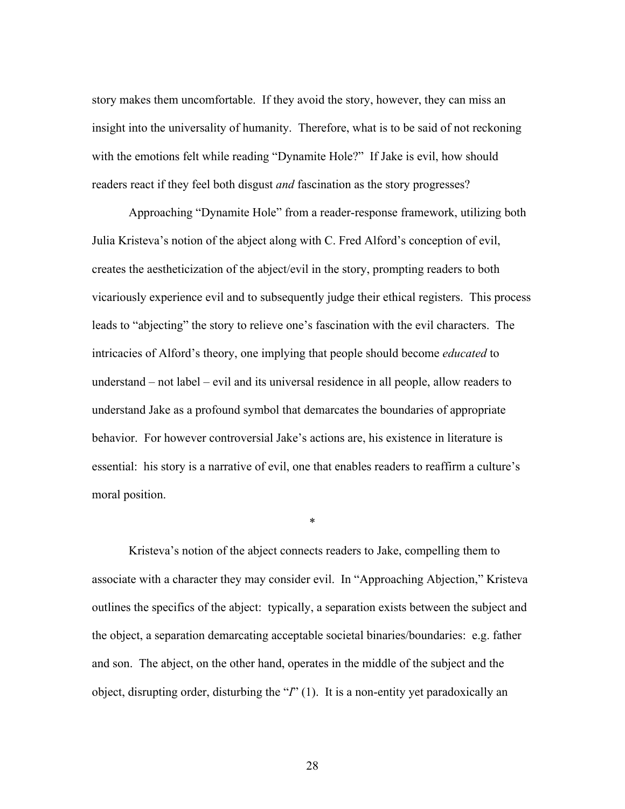story makes them uncomfortable. If they avoid the story, however, they can miss an insight into the universality of humanity. Therefore, what is to be said of not reckoning with the emotions felt while reading "Dynamite Hole?" If Jake is evil, how should readers react if they feel both disgust *and* fascination as the story progresses?

Approaching "Dynamite Hole" from a reader-response framework, utilizing both Julia Kristeva's notion of the abject along with C. Fred Alford's conception of evil, creates the aestheticization of the abject/evil in the story, prompting readers to both vicariously experience evil and to subsequently judge their ethical registers. This process leads to "abjecting" the story to relieve one's fascination with the evil characters. The intricacies of Alford's theory, one implying that people should become *educated* to understand – not label – evil and its universal residence in all people, allow readers to understand Jake as a profound symbol that demarcates the boundaries of appropriate behavior. For however controversial Jake's actions are, his existence in literature is essential: his story is a narrative of evil, one that enables readers to reaffirm a culture's moral position.

Kristeva's notion of the abject connects readers to Jake, compelling them to associate with a character they may consider evil. In "Approaching Abjection," Kristeva outlines the specifics of the abject: typically, a separation exists between the subject and the object, a separation demarcating acceptable societal binaries/boundaries: e.g. father and son. The abject, on the other hand, operates in the middle of the subject and the object, disrupting order, disturbing the "*I*" (1). It is a non-entity yet paradoxically an

\*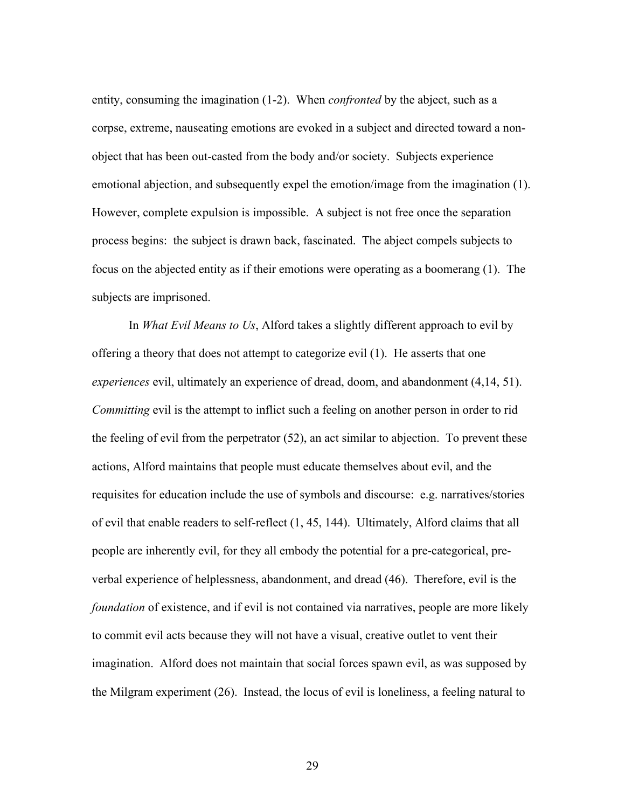entity, consuming the imagination (1-2). When *confronted* by the abject, such as a corpse, extreme, nauseating emotions are evoked in a subject and directed toward a nonobject that has been out-casted from the body and/or society. Subjects experience emotional abjection, and subsequently expel the emotion/image from the imagination (1). However, complete expulsion is impossible. A subject is not free once the separation process begins: the subject is drawn back, fascinated. The abject compels subjects to focus on the abjected entity as if their emotions were operating as a boomerang (1). The subjects are imprisoned.

In *What Evil Means to Us*, Alford takes a slightly different approach to evil by offering a theory that does not attempt to categorize evil (1). He asserts that one *experiences* evil, ultimately an experience of dread, doom, and abandonment (4,14, 51). *Committing* evil is the attempt to inflict such a feeling on another person in order to rid the feeling of evil from the perpetrator (52), an act similar to abjection. To prevent these actions, Alford maintains that people must educate themselves about evil, and the requisites for education include the use of symbols and discourse: e.g. narratives/stories of evil that enable readers to self-reflect (1, 45, 144). Ultimately, Alford claims that all people are inherently evil, for they all embody the potential for a pre-categorical, preverbal experience of helplessness, abandonment, and dread (46). Therefore, evil is the *foundation* of existence, and if evil is not contained via narratives, people are more likely to commit evil acts because they will not have a visual, creative outlet to vent their imagination. Alford does not maintain that social forces spawn evil, as was supposed by the Milgram experiment (26). Instead, the locus of evil is loneliness, a feeling natural to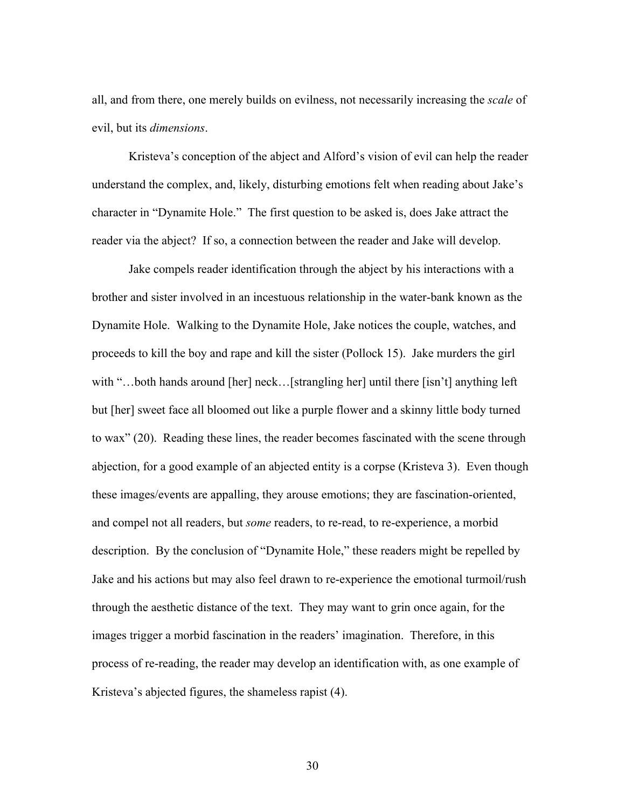all, and from there, one merely builds on evilness, not necessarily increasing the *scale* of evil, but its *dimensions*.

Kristeva's conception of the abject and Alford's vision of evil can help the reader understand the complex, and, likely, disturbing emotions felt when reading about Jake's character in "Dynamite Hole." The first question to be asked is, does Jake attract the reader via the abject? If so, a connection between the reader and Jake will develop.

Jake compels reader identification through the abject by his interactions with a brother and sister involved in an incestuous relationship in the water-bank known as the Dynamite Hole.Walking to the Dynamite Hole, Jake notices the couple, watches, and proceeds to kill the boy and rape and kill the sister (Pollock 15). Jake murders the girl with "...both hands around [her] neck...[strangling her] until there [isn't] anything left but [her] sweet face all bloomed out like a purple flower and a skinny little body turned to wax" (20). Reading these lines, the reader becomes fascinated with the scene through abjection, for a good example of an abjected entity is a corpse (Kristeva 3).Even though these images/events are appalling, they arouse emotions; they are fascination-oriented, and compel not all readers, but *some* readers, to re-read, to re-experience, a morbid description. By the conclusion of "Dynamite Hole," these readers might be repelled by Jake and his actions but may also feel drawn to re-experience the emotional turmoil/rush through the aesthetic distance of the text. They may want to grin once again, for the images trigger a morbid fascination in the readers' imagination. Therefore, in this process of re-reading, the reader may develop an identification with, as one example of Kristeva's abjected figures, the shameless rapist (4).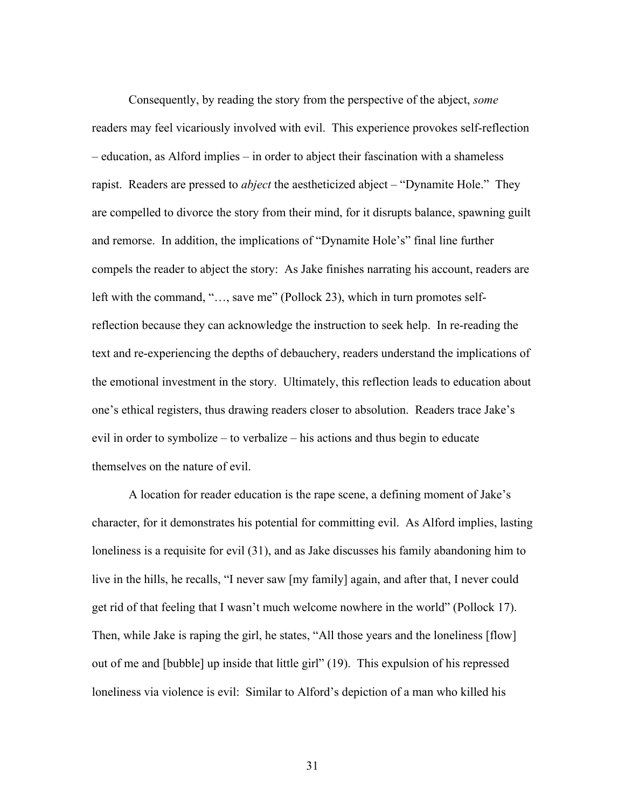Consequently, by reading the story from the perspective of the abject, *some*  readers may feel vicariously involved with evil. This experience provokes self-reflection – education, as Alford implies – in order to abject their fascination with a shameless rapist. Readers are pressed to *abject* the aestheticized abject – "Dynamite Hole." They are compelled to divorce the story from their mind, for it disrupts balance, spawning guilt and remorse. In addition, the implications of "Dynamite Hole's" final line further compels the reader to abject the story: As Jake finishes narrating his account, readers are left with the command, "…, save me" (Pollock 23), which in turn promotes selfreflection because they can acknowledge the instruction to seek help. In re-reading the text and re-experiencing the depths of debauchery, readers understand the implications of the emotional investment in the story. Ultimately, this reflection leads to education about one's ethical registers, thus drawing readers closer to absolution. Readers trace Jake's evil in order to symbolize – to verbalize – his actions and thus begin to educate themselves on the nature of evil.

A location for reader education is the rape scene, a defining moment of Jake's character, for it demonstrates his potential for committing evil. As Alford implies, lasting loneliness is a requisite for evil (31), and as Jake discusses his family abandoning him to live in the hills, he recalls, "I never saw [my family] again, and after that, I never could get rid of that feeling that I wasn't much welcome nowhere in the world" (Pollock 17). Then, while Jake is raping the girl, he states, "All those years and the loneliness [flow] out of me and [bubble] up inside that little girl" (19). This expulsion of his repressed loneliness via violence is evil: Similar to Alford's depiction of a man who killed his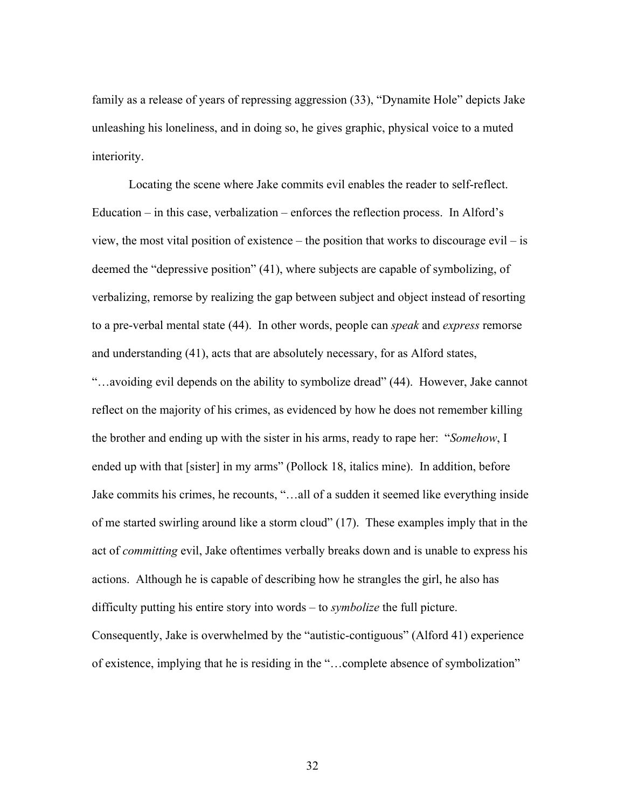family as a release of years of repressing aggression (33), "Dynamite Hole" depicts Jake unleashing his loneliness, and in doing so, he gives graphic, physical voice to a muted interiority.

Locating the scene where Jake commits evil enables the reader to self-reflect. Education – in this case, verbalization – enforces the reflection process. In Alford's view, the most vital position of existence – the position that works to discourage evil – is deemed the "depressive position" (41), where subjects are capable of symbolizing, of verbalizing, remorse by realizing the gap between subject and object instead of resorting to a pre-verbal mental state (44). In other words, people can *speak* and *express* remorse and understanding (41), acts that are absolutely necessary, for as Alford states, "…avoiding evil depends on the ability to symbolize dread" (44). However, Jake cannot reflect on the majority of his crimes, as evidenced by how he does not remember killing the brother and ending up with the sister in his arms, ready to rape her: "*Somehow*, I ended up with that [sister] in my arms" (Pollock 18, italics mine). In addition, before Jake commits his crimes, he recounts, "…all of a sudden it seemed like everything inside of me started swirling around like a storm cloud" (17). These examples imply that in the act of *committing* evil, Jake oftentimes verbally breaks down and is unable to express his actions. Although he is capable of describing how he strangles the girl, he also has difficulty putting his entire story into words – to *symbolize* the full picture. Consequently, Jake is overwhelmed by the "autistic-contiguous" (Alford 41) experience of existence, implying that he is residing in the "…complete absence of symbolization"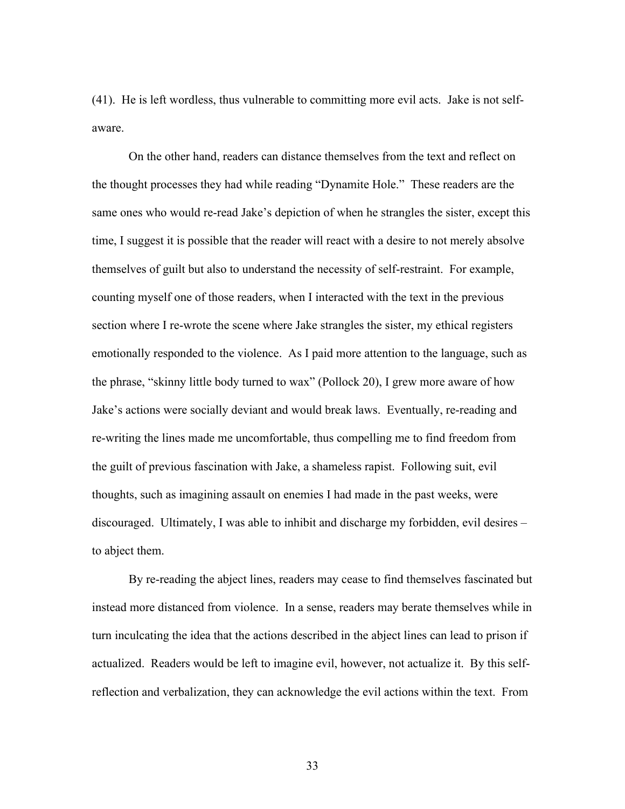(41). He is left wordless, thus vulnerable to committing more evil acts. Jake is not selfaware.

On the other hand, readers can distance themselves from the text and reflect on the thought processes they had while reading "Dynamite Hole." These readers are the same ones who would re-read Jake's depiction of when he strangles the sister, except this time, I suggest it is possible that the reader will react with a desire to not merely absolve themselves of guilt but also to understand the necessity of self-restraint.For example, counting myself one of those readers, when I interacted with the text in the previous section where I re-wrote the scene where Jake strangles the sister, my ethical registers emotionally responded to the violence. As I paid more attention to the language, such as the phrase, "skinny little body turned to wax" (Pollock 20), I grew more aware of how Jake's actions were socially deviant and would break laws. Eventually, re-reading and re-writing the lines made me uncomfortable, thus compelling me to find freedom from the guilt of previous fascination with Jake, a shameless rapist. Following suit, evil thoughts, such as imagining assault on enemies I had made in the past weeks, were discouraged. Ultimately, I was able to inhibit and discharge my forbidden, evil desires – to abject them.

By re-reading the abject lines, readers may cease to find themselves fascinated but instead more distanced from violence. In a sense, readers may berate themselves while in turn inculcating the idea that the actions described in the abject lines can lead to prison if actualized. Readers would be left to imagine evil, however, not actualize it. By this selfreflection and verbalization, they can acknowledge the evil actions within the text. From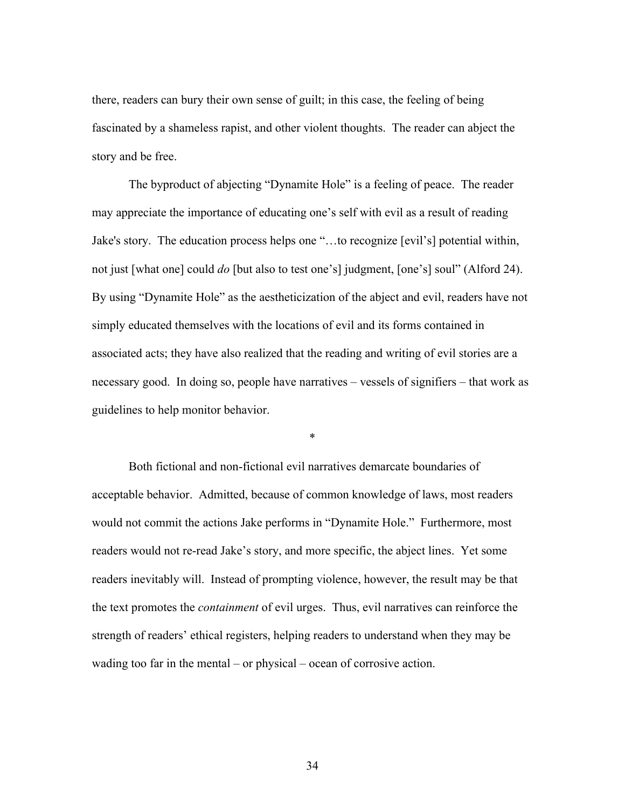there, readers can bury their own sense of guilt; in this case, the feeling of being fascinated by a shameless rapist, and other violent thoughts. The reader can abject the story and be free.

The byproduct of abjecting "Dynamite Hole" is a feeling of peace. The reader may appreciate the importance of educating one's self with evil as a result of reading Jake's story. The education process helps one "…to recognize [evil's] potential within, not just [what one] could *do* [but also to test one's] judgment, [one's] soul" (Alford 24). By using "Dynamite Hole" as the aestheticization of the abject and evil, readers have not simply educated themselves with the locations of evil and its forms contained in associated acts; they have also realized that the reading and writing of evil stories are a necessary good. In doing so, people have narratives – vessels of signifiers – that work as guidelines to help monitor behavior.

\*

Both fictional and non-fictional evil narratives demarcate boundaries of acceptable behavior. Admitted, because of common knowledge of laws, most readers would not commit the actions Jake performs in "Dynamite Hole." Furthermore, most readers would not re-read Jake's story, and more specific, the abject lines. Yet some readers inevitably will. Instead of prompting violence, however, the result may be that the text promotes the *containment* of evil urges. Thus, evil narratives can reinforce the strength of readers' ethical registers, helping readers to understand when they may be wading too far in the mental – or physical – ocean of corrosive action.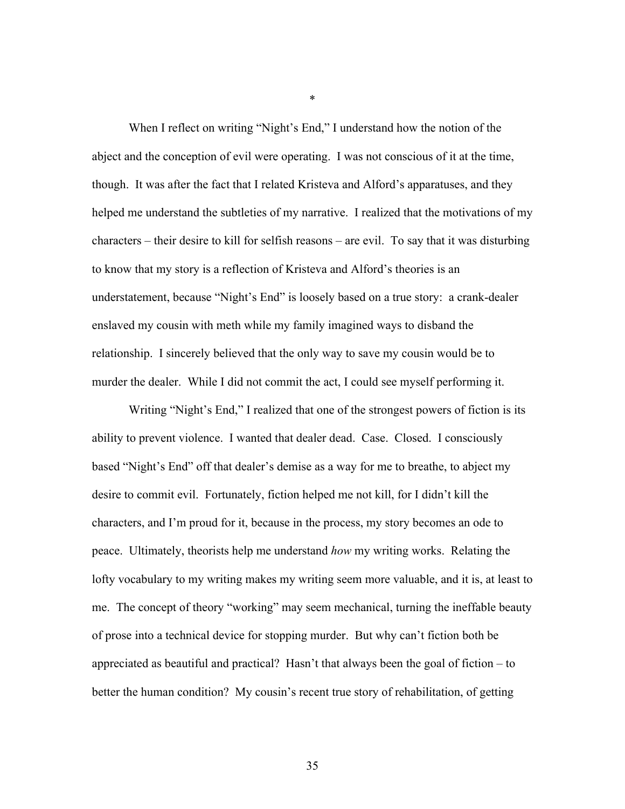When I reflect on writing "Night's End," I understand how the notion of the abject and the conception of evil were operating. I was not conscious of it at the time, though. It was after the fact that I related Kristeva and Alford's apparatuses, and they helped me understand the subtleties of my narrative. I realized that the motivations of my characters – their desire to kill for selfish reasons – are evil. To say that it was disturbing to know that my story is a reflection of Kristeva and Alford's theories is an understatement, because "Night's End" is loosely based on a true story: a crank-dealer enslaved my cousin with meth while my family imagined ways to disband the relationship. I sincerely believed that the only way to save my cousin would be to murder the dealer. While I did not commit the act, I could see myself performing it.

Writing "Night's End," I realized that one of the strongest powers of fiction is its ability to prevent violence. I wanted that dealer dead. Case. Closed. I consciously based "Night's End" off that dealer's demise as a way for me to breathe, to abject my desire to commit evil. Fortunately, fiction helped me not kill, for I didn't kill the characters, and I'm proud for it, because in the process, my story becomes an ode to peace. Ultimately, theorists help me understand *how* my writing works. Relating the lofty vocabulary to my writing makes my writing seem more valuable, and it is, at least to me. The concept of theory "working" may seem mechanical, turning the ineffable beauty of prose into a technical device for stopping murder. But why can't fiction both be appreciated as beautiful and practical? Hasn't that always been the goal of fiction – to better the human condition? My cousin's recent true story of rehabilitation, of getting

\*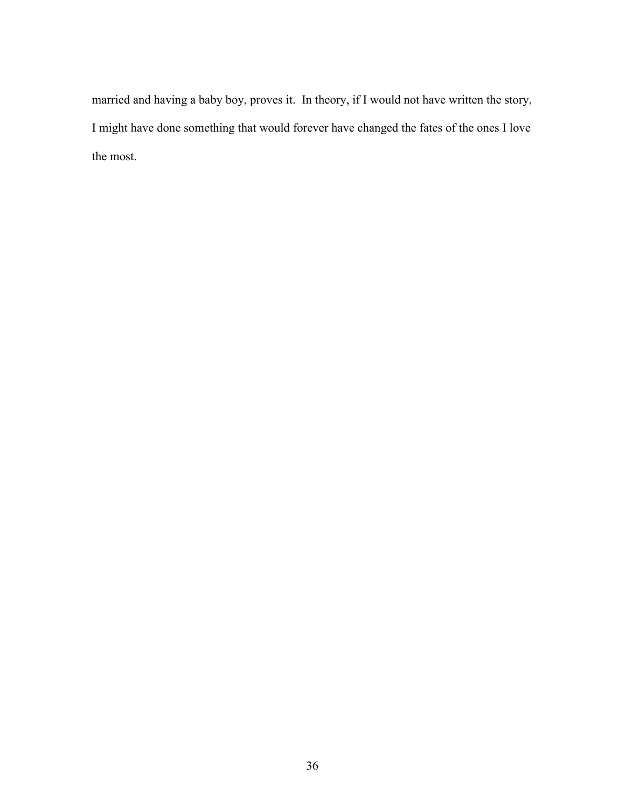married and having a baby boy, proves it. In theory, if I would not have written the story, I might have done something that would forever have changed the fates of the ones I love the most.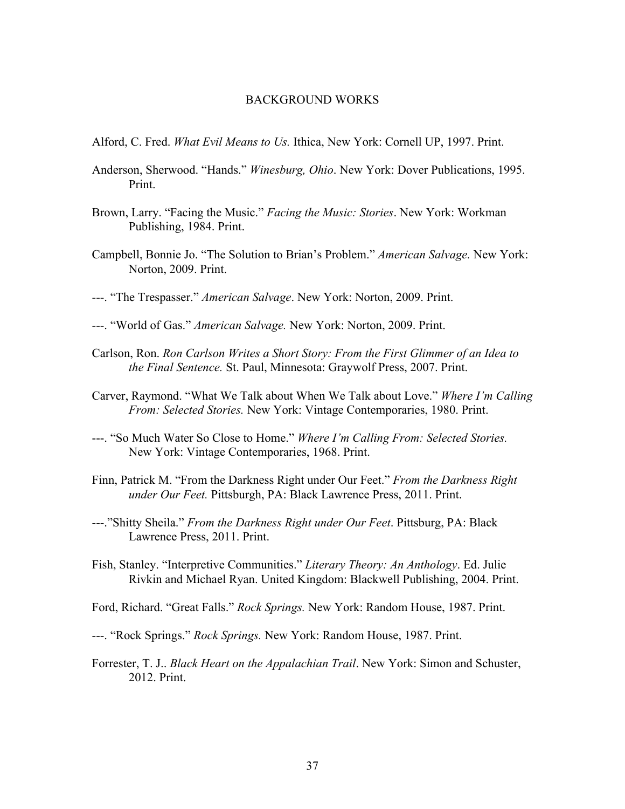### BACKGROUND WORKS

- Alford, C. Fred. *What Evil Means to Us.* Ithica, New York: Cornell UP, 1997. Print.
- Anderson, Sherwood. "Hands." *Winesburg, Ohio*. New York: Dover Publications, 1995. Print.
- Brown, Larry. "Facing the Music." *Facing the Music: Stories*. New York: Workman Publishing, 1984. Print.
- Campbell, Bonnie Jo. "The Solution to Brian's Problem." *American Salvage.* New York: Norton, 2009. Print.
- ---. "The Trespasser." *American Salvage*. New York: Norton, 2009. Print.
- ---. "World of Gas." *American Salvage.* New York: Norton, 2009. Print.
- Carlson, Ron. *Ron Carlson Writes a Short Story: From the First Glimmer of an Idea to the Final Sentence.* St. Paul, Minnesota: Graywolf Press, 2007. Print.
- Carver, Raymond. "What We Talk about When We Talk about Love." *Where I'm Calling From: Selected Stories.* New York: Vintage Contemporaries, 1980. Print.
- ---. "So Much Water So Close to Home." *Where I'm Calling From: Selected Stories.*  New York: Vintage Contemporaries, 1968. Print.
- Finn, Patrick M. "From the Darkness Right under Our Feet." *From the Darkness Right under Our Feet.* Pittsburgh, PA: Black Lawrence Press, 2011. Print.
- ---."Shitty Sheila." *From the Darkness Right under Our Feet*. Pittsburg, PA: Black Lawrence Press, 2011. Print.
- Fish, Stanley. "Interpretive Communities." *Literary Theory: An Anthology*. Ed. Julie Rivkin and Michael Ryan. United Kingdom: Blackwell Publishing, 2004. Print.
- Ford, Richard. "Great Falls." *Rock Springs.* New York: Random House, 1987. Print.
- ---. "Rock Springs." *Rock Springs.* New York: Random House, 1987. Print.
- Forrester, T. J.. *Black Heart on the Appalachian Trail*. New York: Simon and Schuster, 2012. Print.